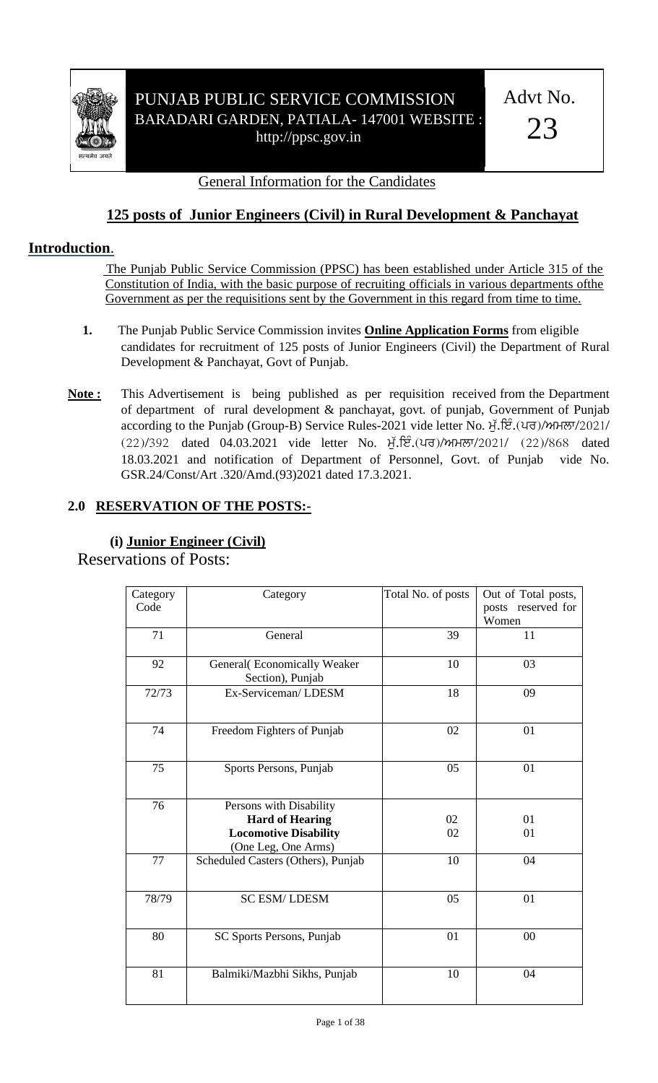

## PUNJAB PUBLIC SERVICE COMMISSION BARADARI GARDEN, PATIALA- 147001 WEBSITE : http://ppsc.gov.in

Advt No.

23

#### General Information for the Candidates

## **125 posts of Junior Engineers (Civil) in Rural Development & Panchayat**

### **Introduction**.

 The Punjab Public Service Commission (PPSC) has been established under Article 315 of the Constitution of India, with the basic purpose of recruiting officials in various departments ofthe Government as per the requisitions sent by the Government in this regard from time to time.

- **1.** The Punjab Public Service Commission invites **Online Application Forms** from eligible candidates for recruitment of 125 posts of Junior Engineers (Civil) the Department of Rural Development & Panchayat, Govt of Punjab.
- **Note :** This Advertisement is being published as per requisition received from the Department of department of rural development & panchayat, govt. of punjab, Government of Punjab according to the Punjab (Group-B) Service Rules-2021 vide letter No. ਮੁੱ.ਇੰ.(ਪਰ)/ਅਮਲਾ/2021/  $(22)/392$  dated 04.03.2021 vide letter No. ਮੁੱ. ਇੰ. (ਪਰ)/ਅਮਲਾ/2021/  $(22)/868$  dated 18.03.2021 and notification of Department of Personnel, Govt. of Punjab vide No. GSR.24/Const/Art .320/Amd.(93)2021 dated 17.3.2021.

## **2.0 RESERVATION OF THE POSTS:-**

| Category | Category                                        | Total No. of posts | Out of Total posts, |
|----------|-------------------------------------------------|--------------------|---------------------|
| Code     |                                                 |                    | posts reserved for  |
|          |                                                 |                    | Women               |
| 71       | General                                         | 39                 | 11                  |
| 92       | General(Economically Weaker<br>Section), Punjab | 10                 | 03                  |
| 72/73    | Ex-Serviceman/LDESM                             | 18                 | 09                  |
| 74       | Freedom Fighters of Punjab                      | 02                 | 01                  |
| 75       | Sports Persons, Punjab                          | 05                 | 01                  |
| 76       | Persons with Disability                         |                    |                     |
|          | <b>Hard of Hearing</b>                          | 02                 | 01                  |
|          | <b>Locomotive Disability</b>                    | 02                 | 01                  |
|          | (One Leg, One Arms)                             |                    |                     |
| 77       | Scheduled Casters (Others), Punjab              | 10                 | 04                  |
| 78/79    | <b>SC ESM/LDESM</b>                             | 05                 | 01                  |
| 80       | SC Sports Persons, Punjab                       | 01                 | 00                  |
| 81       | Balmiki/Mazbhi Sikhs, Punjab                    | 10                 | 04                  |

### **(i) Junior Engineer (Civil)** Reservations of Posts: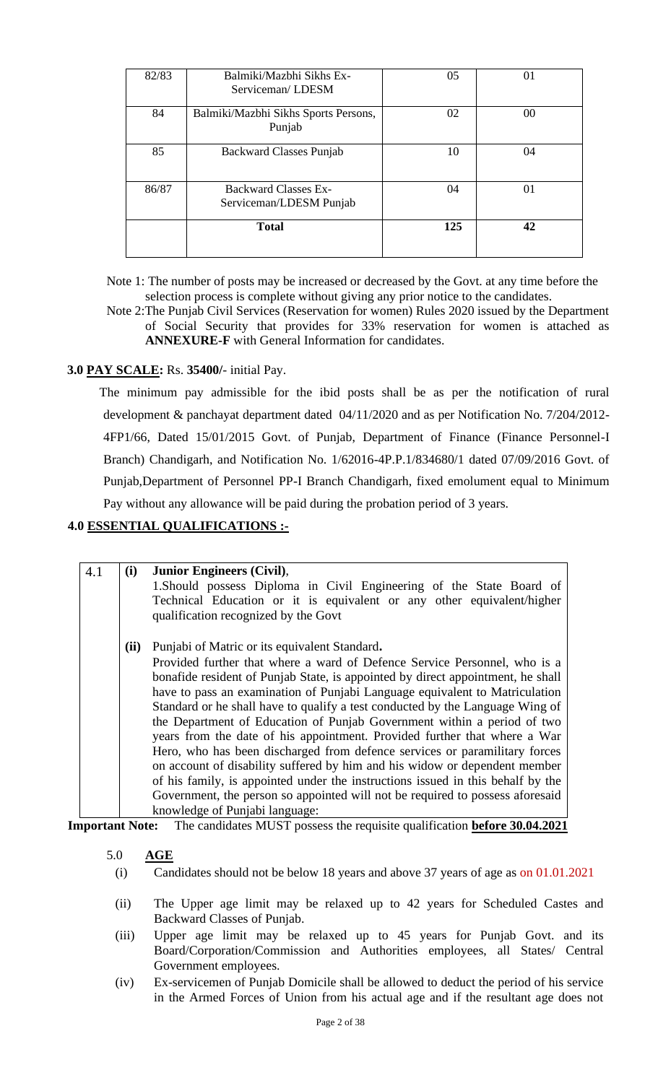| 82/83 | Balmiki/Mazbhi Sikhs Ex-<br>Serviceman/LDESM           | 05  | 01 |
|-------|--------------------------------------------------------|-----|----|
| 84    | Balmiki/Mazbhi Sikhs Sports Persons,<br>Punjab         | 02  | 00 |
| 85    | Backward Classes Punjab                                | 10  | 04 |
| 86/87 | <b>Backward Classes Ex-</b><br>Serviceman/LDESM Punjab | 04  | 01 |
|       | <b>Total</b>                                           | 125 | 42 |

Note 1: The number of posts may be increased or decreased by the Govt. at any time before the selection process is complete without giving any prior notice to the candidates.

Note 2:The Punjab Civil Services (Reservation for women) Rules 2020 issued by the Department of Social Security that provides for 33% reservation for women is attached as **ANNEXURE-F** with General Information for candidates.

#### **3.0 PAY SCALE:** Rs. **35400/**- initial Pay.

The minimum pay admissible for the ibid posts shall be as per the notification of rural development & panchayat department dated 04/11/2020 and as per Notification No. 7/204/2012- 4FP1/66, Dated 15/01/2015 Govt. of Punjab, Department of Finance (Finance Personnel-I Branch) Chandigarh, and Notification No. 1/62016-4P.P.1/834680/1 dated 07/09/2016 Govt. of Punjab,Department of Personnel PP-I Branch Chandigarh, fixed emolument equal to Minimum Pay without any allowance will be paid during the probation period of 3 years.

#### **4.0 ESSENTIAL QUALIFICATIONS :-**

| 4.1 | (i)  | <b>Junior Engineers (Civil),</b>                                                |
|-----|------|---------------------------------------------------------------------------------|
|     |      | 1. Should possess Diploma in Civil Engineering of the State Board of            |
|     |      | Technical Education or it is equivalent or any other equivalent/higher          |
|     |      | qualification recognized by the Govt                                            |
|     |      |                                                                                 |
|     | (ii) | Punjabi of Matric or its equivalent Standard.                                   |
|     |      |                                                                                 |
|     |      | Provided further that where a ward of Defence Service Personnel, who is a       |
|     |      | bonafide resident of Punjab State, is appointed by direct appointment, he shall |
|     |      | have to pass an examination of Punjabi Language equivalent to Matriculation     |
|     |      | Standard or he shall have to qualify a test conducted by the Language Wing of   |
|     |      | the Department of Education of Punjab Government within a period of two         |
|     |      | years from the date of his appointment. Provided further that where a War       |
|     |      | Hero, who has been discharged from defence services or paramilitary forces      |
|     |      |                                                                                 |
|     |      | on account of disability suffered by him and his widow or dependent member      |
|     |      | of his family, is appointed under the instructions issued in this behalf by the |
|     |      | Government, the person so appointed will not be required to possess aforesaid   |
|     |      | knowledge of Punjabi language:                                                  |

**Important Note:** The candidates MUST possess the requisite qualification **before 30.04.2021**

#### 5.0 **AGE**

- (i) Candidates should not be below 18 years and above 37 years of age as on 01.01.2021
- (ii) The Upper age limit may be relaxed up to 42 years for Scheduled Castes and Backward Classes of Punjab.
- (iii) Upper age limit may be relaxed up to 45 years for Punjab Govt. and its Board/Corporation/Commission and Authorities employees, all States/ Central Government employees.
- (iv) Ex-servicemen of Punjab Domicile shall be allowed to deduct the period of his service in the Armed Forces of Union from his actual age and if the resultant age does not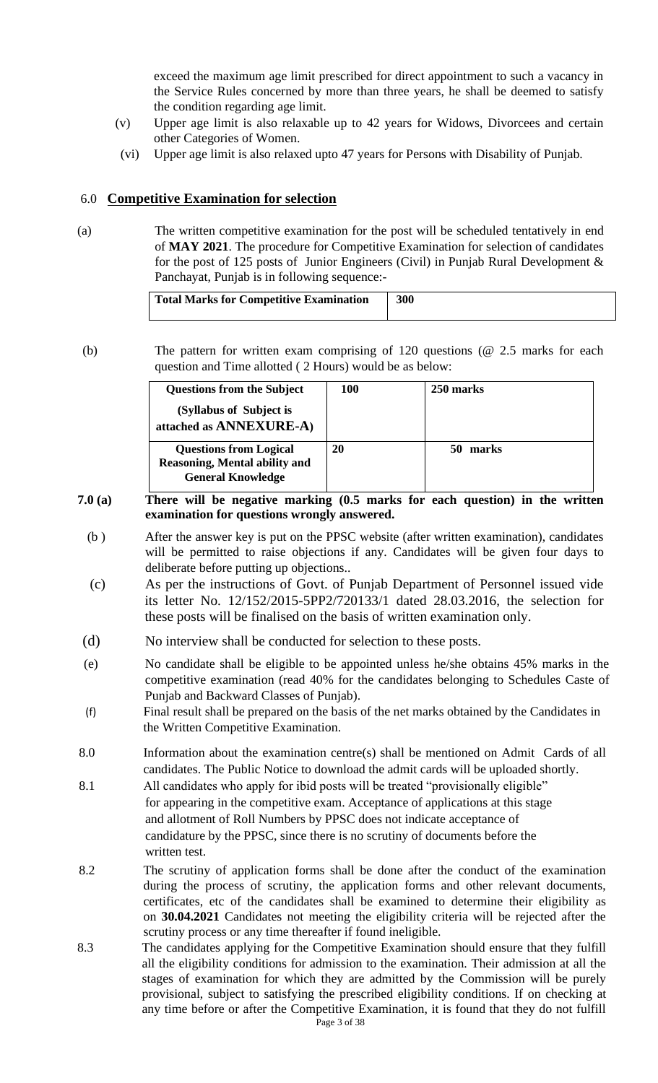exceed the maximum age limit prescribed for direct appointment to such a vacancy in the Service Rules concerned by more than three years, he shall be deemed to satisfy the condition regarding age limit.

- (v) Upper age limit is also relaxable up to 42 years for Widows, Divorcees and certain other Categories of Women.
- (vi) Upper age limit is also relaxed upto 47 years for Persons with Disability of Punjab.

#### 6.0 **Competitive Examination for selection**

(a) The written competitive examination for the post will be scheduled tentatively in end of **MAY 2021**. The procedure for Competitive Examination for selection of candidates for the post of 125 posts of Junior Engineers (Civil) in Punjab Rural Development  $\&$ Panchayat, Punjab is in following sequence:-

| Total Marks for Competitive Examination | 300 |
|-----------------------------------------|-----|
|                                         |     |

(b) The pattern for written exam comprising of 120 questions (@ 2.5 marks for each question and Time allotted ( 2 Hours) would be as below:

| <b>Questions from the Subject</b>                                                                 | 100 | 250 marks |
|---------------------------------------------------------------------------------------------------|-----|-----------|
| (Syllabus of Subject is<br>attached as ANNEXURE-A)                                                |     |           |
| <b>Questions from Logical</b><br><b>Reasoning, Mental ability and</b><br><b>General Knowledge</b> | 20  | marks     |

#### **7.0 (a) There will be negative marking (0.5 marks for each question) in the written examination for questions wrongly answered.**

- (b ) After the answer key is put on the PPSC website (after written examination), candidates will be permitted to raise objections if any. Candidates will be given four days to deliberate before putting up objections..
- (c) As per the instructions of Govt. of Punjab Department of Personnel issued vide its letter No. 12/152/2015-5PP2/720133/1 dated 28.03.2016, the selection for these posts will be finalised on the basis of written examination only.
- (d) No interview shall be conducted for selection to these posts.
- (e) No candidate shall be eligible to be appointed unless he/she obtains 45% marks in the competitive examination (read 40% for the candidates belonging to Schedules Caste of Punjab and Backward Classes of Punjab).
- (f) Final result shall be prepared on the basis of the net marks obtained by the Candidates in the Written Competitive Examination.
- 8.0 Information about the examination centre(s) shall be mentioned on Admit Cards of all candidates. The Public Notice to download the admit cards will be uploaded shortly.
- 8.1 All candidates who apply for ibid posts will be treated "provisionally eligible" for appearing in the competitive exam. Acceptance of applications at this stage and allotment of Roll Numbers by PPSC does not indicate acceptance of candidature by the PPSC, since there is no scrutiny of documents before the written test.
- 8.2 The scrutiny of application forms shall be done after the conduct of the examination during the process of scrutiny, the application forms and other relevant documents, certificates, etc of the candidates shall be examined to determine their eligibility as on **30.04.2021** Candidates not meeting the eligibility criteria will be rejected after the scrutiny process or any time thereafter if found ineligible.
- Page 3 of 38 8.3 The candidates applying for the Competitive Examination should ensure that they fulfill all the eligibility conditions for admission to the examination. Their admission at all the stages of examination for which they are admitted by the Commission will be purely provisional, subject to satisfying the prescribed eligibility conditions. If on checking at any time before or after the Competitive Examination, it is found that they do not fulfill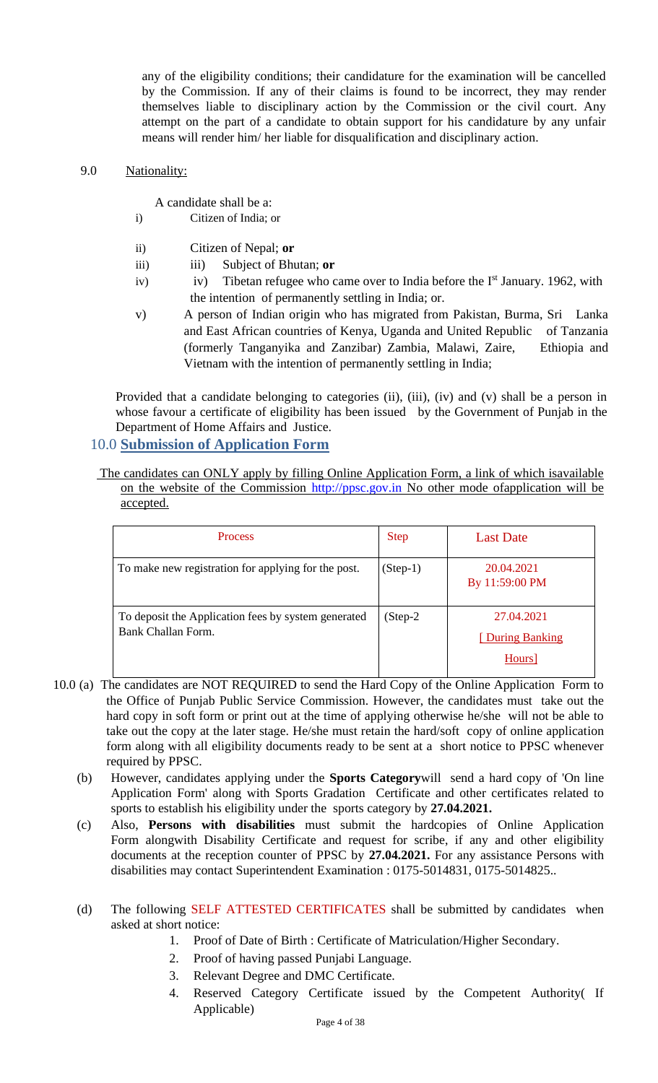any of the eligibility conditions; their candidature for the examination will be cancelled by the Commission. If any of their claims is found to be incorrect, they may render themselves liable to disciplinary action by the Commission or the civil court. Any attempt on the part of a candidate to obtain support for his candidature by any unfair means will render him/ her liable for disqualification and disciplinary action.

#### 9.0 Nationality:

- A candidate shall be a:
- i) Citizen of India; or
- ii) Citizen of Nepal; **or**
- iii) Subject of Bhutan; or
- iv) iv) Tibetan refugee who came over to India before the  $I<sup>st</sup>$  January. 1962, with the intention of permanently settling in India; or.
- v) A person of Indian origin who has migrated from Pakistan, Burma, Sri Lanka and East African countries of Kenya, Uganda and United Republic of Tanzania (formerly Tanganyika and Zanzibar) Zambia, Malawi, Zaire, Ethiopia and Vietnam with the intention of permanently settling in India;

Provided that a candidate belonging to categories (ii), (iii), (iv) and (v) shall be a person in whose favour a certificate of eligibility has been issued by the Government of Punjab in the Department of Home Affairs and Justice.

#### 10.0 **Submission of Application Form**

The candidates can ONLY apply by filling Online Application Form, a link of which isavailable on the website of the Commission http://ppsc.gov.in No other mode ofapplication will be accepted.

| <b>Process</b>                                                            | <b>Step</b> | <b>Last Date</b>                         |
|---------------------------------------------------------------------------|-------------|------------------------------------------|
| To make new registration for applying for the post.                       | $(Stop-1)$  | 20.04.2021<br>By 11:59:00 PM             |
| To deposit the Application fees by system generated<br>Bank Challan Form. | $(Step-2)$  | 27.04.2021<br>[During Banking]<br>Hours] |

- 10.0 (a) The candidates are NOT REQUIRED to send the Hard Copy of the Online Application Form to the Office of Punjab Public Service Commission. However, the candidates must take out the hard copy in soft form or print out at the time of applying otherwise he/she will not be able to take out the copy at the later stage. He/she must retain the hard/soft copy of online application form along with all eligibility documents ready to be sent at a short notice to PPSC whenever required by PPSC.
	- (b) However, candidates applying under the **Sports Category**will send a hard copy of 'On line Application Form' along with Sports Gradation Certificate and other certificates related to sports to establish his eligibility under the sports category by **27.04.2021.**
	- (c) Also, **Persons with disabilities** must submit the hardcopies of Online Application Form alongwith Disability Certificate and request for scribe, if any and other eligibility documents at the reception counter of PPSC by **27.04.2021.** For any assistance Persons with disabilities may contact Superintendent Examination : 0175-5014831, 0175-5014825..
	- (d) The following SELF ATTESTED CERTIFICATES shall be submitted by candidates when asked at short notice:
		- 1. Proof of Date of Birth : Certificate of Matriculation/Higher Secondary.
		- 2. Proof of having passed Punjabi Language.
		- 3. Relevant Degree and DMC Certificate.
		- 4. Reserved Category Certificate issued by the Competent Authority( If Applicable)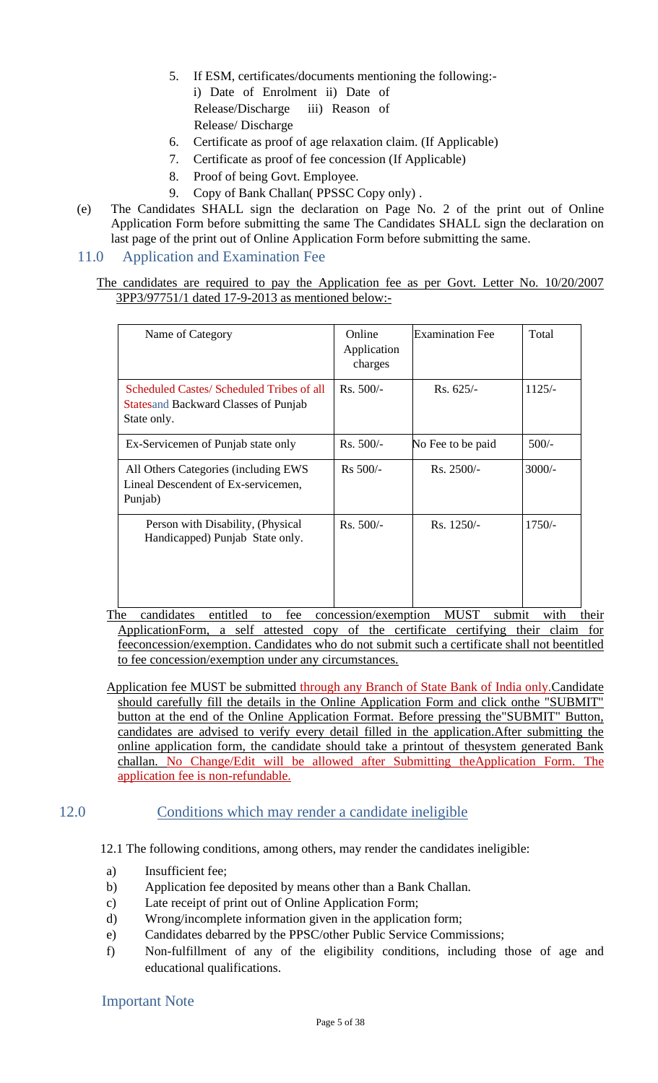- 5. If ESM, certificates/documents mentioning the following: i) Date of Enrolment ii) Date of Release/Discharge iii) Reason of Release/ Discharge
- 6. Certificate as proof of age relaxation claim. (If Applicable)
- 7. Certificate as proof of fee concession (If Applicable)
- 8. Proof of being Govt. Employee.
- 9. Copy of Bank Challan(PPSSC Copy only).
- (e) The Candidates SHALL sign the declaration on Page No. 2 of the print out of Online Application Form before submitting the same The Candidates SHALL sign the declaration on last page of the print out of Online Application Form before submitting the same.

#### 11.0 Application and Examination Fee

The candidates are required to pay the Application fee as per Govt. Letter No. 10/20/2007 3PP3/97751/1 dated 17-9-2013 as mentioned below:-

| Name of Category                                                                                        | Online<br>Application<br>charges | <b>Examination Fee</b> | Total    |
|---------------------------------------------------------------------------------------------------------|----------------------------------|------------------------|----------|
| Scheduled Castes/ Scheduled Tribes of all<br><b>Statesand Backward Classes of Punjab</b><br>State only. | $Rs. 500/-$                      | $Rs. 625/-$            | $1125/-$ |
| Ex-Servicemen of Punjab state only                                                                      | $Rs. 500/-$                      | No Fee to be paid      | $500/-$  |
| All Others Categories (including EWS<br>Lineal Descendent of Ex-servicemen,<br>Punjab)                  | $Rs 500/-$                       | $Rs. 2500/-$           | $3000/-$ |
| Person with Disability, (Physical<br>Handicapped) Punjab State only.                                    | $Rs. 500/-$                      | $Rs. 1250/-$           | $1750/-$ |

The candidates entitled to fee concession/exemption MUST submit with their ApplicationForm, a self attested copy of the certificate certifying their claim for feeconcession/exemption. Candidates who do not submit such a certificate shall not beentitled to fee concession/exemption under any circumstances.

Application fee MUST be submitted through any Branch of State Bank of India only.Candidate should carefully fill the details in the Online Application Form and click onthe "SUBMIT" button at the end of the Online Application Format. Before pressing the"SUBMIT" Button, candidates are advised to verify every detail filled in the application.After submitting the online application form, the candidate should take a printout of thesystem generated Bank challan. No Change/Edit will be allowed after Submitting theApplication Form. The application fee is non-refundable.

#### 12.0 Conditions which may render a candidate ineligible

12.1 The following conditions, among others, may render the candidates ineligible:

- a) Insufficient fee;
- b) Application fee deposited by means other than a Bank Challan.
- c) Late receipt of print out of Online Application Form;
- d) Wrong/incomplete information given in the application form;
- e) Candidates debarred by the PPSC/other Public Service Commissions;
- f) Non-fulfillment of any of the eligibility conditions, including those of age and educational qualifications.

#### Important Note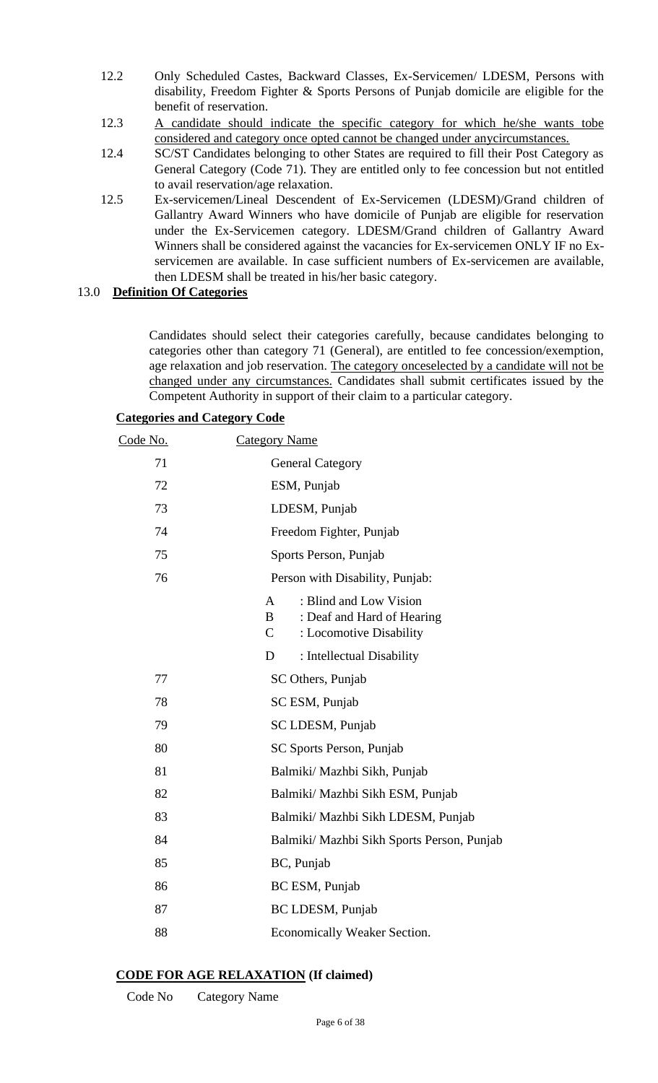- 12.2 Only Scheduled Castes, Backward Classes, Ex-Servicemen/ LDESM, Persons with disability, Freedom Fighter & Sports Persons of Punjab domicile are eligible for the benefit of reservation.
- 12.3 A candidate should indicate the specific category for which he/she wants tobe considered and category once opted cannot be changed under anycircumstances.
- 12.4 SC/ST Candidates belonging to other States are required to fill their Post Category as General Category (Code 71). They are entitled only to fee concession but not entitled to avail reservation/age relaxation.
- 12.5 Ex-servicemen/Lineal Descendent of Ex-Servicemen (LDESM)/Grand children of Gallantry Award Winners who have domicile of Punjab are eligible for reservation under the Ex-Servicemen category. LDESM/Grand children of Gallantry Award Winners shall be considered against the vacancies for Ex-servicemen ONLY IF no Exservicemen are available. In case sufficient numbers of Ex-servicemen are available, then LDESM shall be treated in his/her basic category.

#### 13.0 **Definition Of Categories**

Candidates should select their categories carefully, because candidates belonging to categories other than category 71 (General), are entitled to fee concession/exemption, age relaxation and job reservation. The category onceselected by a candidate will not be changed under any circumstances. Candidates shall submit certificates issued by the Competent Authority in support of their claim to a particular category.

|  | <b>Categories and Category Code</b> |  |
|--|-------------------------------------|--|
|  |                                     |  |

| <u>Code No.</u> | <b>Category Name</b>                                                                                      |  |  |
|-----------------|-----------------------------------------------------------------------------------------------------------|--|--|
| 71              | <b>General Category</b>                                                                                   |  |  |
| 72              | ESM, Punjab                                                                                               |  |  |
| 73              | LDESM, Punjab                                                                                             |  |  |
| 74              | Freedom Fighter, Punjab                                                                                   |  |  |
| 75              | Sports Person, Punjab                                                                                     |  |  |
| 76              | Person with Disability, Punjab:                                                                           |  |  |
|                 | : Blind and Low Vision<br>A<br>: Deaf and Hard of Hearing<br>B<br>$\mathsf{C}$<br>: Locomotive Disability |  |  |
|                 | : Intellectual Disability<br>D                                                                            |  |  |
| 77              | SC Others, Punjab                                                                                         |  |  |
| 78              | SC ESM, Punjab                                                                                            |  |  |
| 79              | SC LDESM, Punjab                                                                                          |  |  |
| 80              | SC Sports Person, Punjab                                                                                  |  |  |
| 81              | Balmiki/ Mazhbi Sikh, Punjab                                                                              |  |  |
| 82              | Balmiki/ Mazhbi Sikh ESM, Punjab                                                                          |  |  |
| 83              | Balmiki/ Mazhbi Sikh LDESM, Punjab                                                                        |  |  |
| 84              | Balmiki/ Mazhbi Sikh Sports Person, Punjab                                                                |  |  |
| 85              | BC, Punjab                                                                                                |  |  |
| 86              | BC ESM, Punjab                                                                                            |  |  |
| 87              | BC LDESM, Punjab                                                                                          |  |  |
| 88              | Economically Weaker Section.                                                                              |  |  |

#### **CODE FOR AGE RELAXATION (If claimed)**

Code No Category Name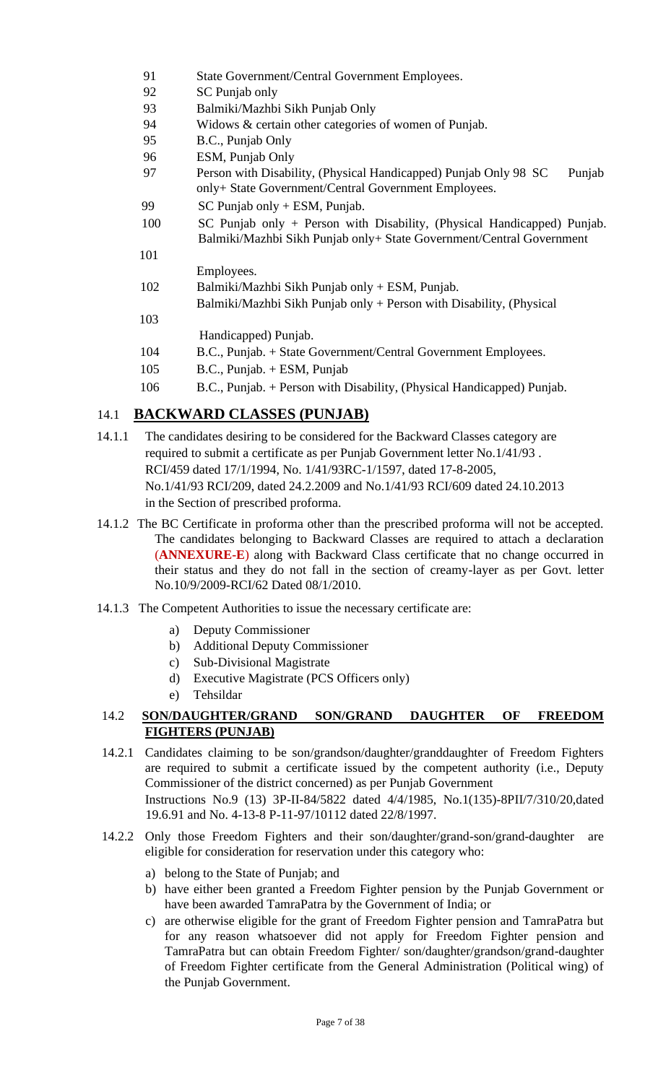- 91 State Government/Central Government Employees.
- 92 SC Punjab only
- 93 Balmiki/Mazhbi Sikh Punjab Only
- 94 Widows & certain other categories of women of Punjab.
- 95 B.C., Punjab Only
- 96 ESM, Punjab Only
- 97 Person with Disability, (Physical Handicapped) Punjab Only 98 SC Punjab only+ State Government/Central Government Employees.
- 99 SC Punjab only + ESM, Punjab.
- 100 SC Punjab only + Person with Disability, (Physical Handicapped) Punjab. Balmiki/Mazhbi Sikh Punjab only+ State Government/Central Government
	- Employees.

101

103

- 102 Balmiki/Mazhbi Sikh Punjab only + ESM, Punjab.
	- Balmiki/Mazhbi Sikh Punjab only + Person with Disability, (Physical
- Handicapped) Punjab.
- 104 B.C., Punjab. + State Government/Central Government Employees.
- 105 B.C., Punjab. + ESM, Punjab
- 106 B.C., Punjab. + Person with Disability, (Physical Handicapped) Punjab.

## 14.1 **BACKWARD CLASSES (PUNJAB)**

- 14.1.1 The candidates desiring to be considered for the Backward Classes category are required to submit a certificate as per Punjab Government letter No.1/41/93 . RCI/459 dated 17/1/1994, No. 1/41/93RC-1/1597, dated 17-8-2005, No.1/41/93 RCI/209, dated 24.2.2009 and No.1/41/93 RCI/609 dated 24.10.2013 in the Section of prescribed proforma.
- 14.1.2 The BC Certificate in proforma other than the prescribed proforma will not be accepted. The candidates belonging to Backward Classes are required to attach a declaration (**ANNEXURE-E**) along with Backward Class certificate that no change occurred in their status and they do not fall in the section of creamy-layer as per Govt. letter No.10/9/2009-RCI/62 Dated 08/1/2010.
- 14.1.3 The Competent Authorities to issue the necessary certificate are:
	- a) Deputy Commissioner
	- b) Additional Deputy Commissioner
	- c) Sub-Divisional Magistrate
	- d) Executive Magistrate (PCS Officers only)
	- e) Tehsildar

### 14.2 **SON/DAUGHTER/GRAND SON/GRAND DAUGHTER OF FREEDOM FIGHTERS (PUNJAB)**

- 14.2.1 Candidates claiming to be son/grandson/daughter/granddaughter of Freedom Fighters are required to submit a certificate issued by the competent authority (i.e., Deputy Commissioner of the district concerned) as per Punjab Government Instructions No.9 (13) 3P-II-84/5822 dated 4/4/1985, No.1(135)-8PII/7/310/20,dated 19.6.91 and No. 4-13-8 P-11-97/10112 dated 22/8/1997.
- 14.2.2 Only those Freedom Fighters and their son/daughter/grand-son/grand-daughter are eligible for consideration for reservation under this category who:
	- a) belong to the State of Punjab; and
	- b) have either been granted a Freedom Fighter pension by the Punjab Government or have been awarded TamraPatra by the Government of India; or
	- c) are otherwise eligible for the grant of Freedom Fighter pension and TamraPatra but for any reason whatsoever did not apply for Freedom Fighter pension and TamraPatra but can obtain Freedom Fighter/ son/daughter/grandson/grand-daughter of Freedom Fighter certificate from the General Administration (Political wing) of the Punjab Government.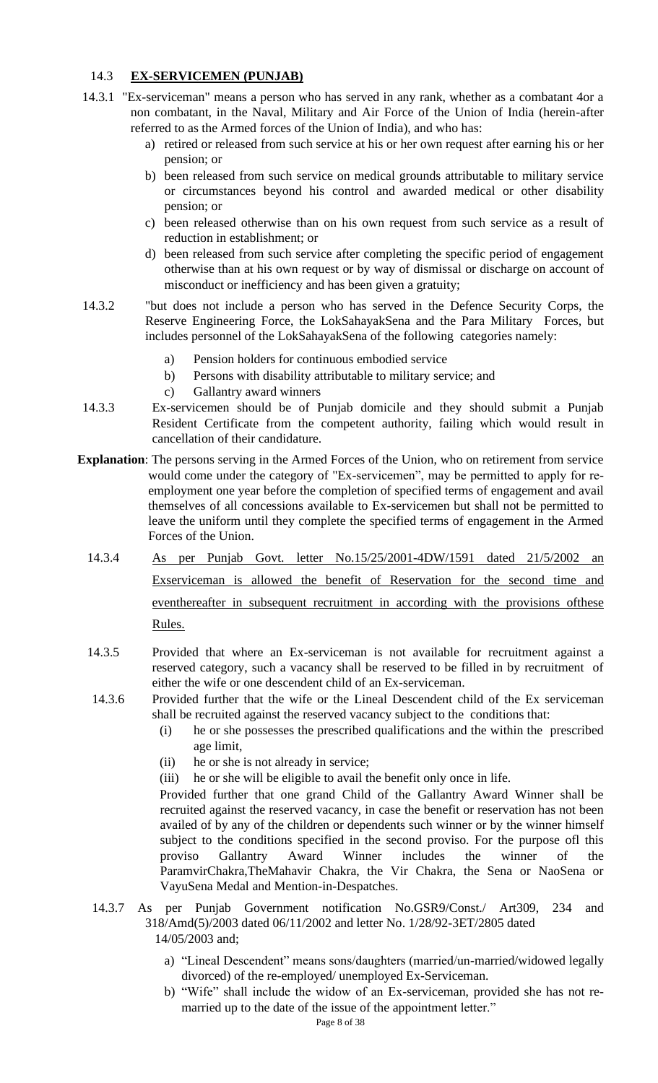#### 14.3 **EX-SERVICEMEN (PUNJAB)**

- 14.3.1 "Ex-serviceman" means a person who has served in any rank, whether as a combatant 4or a non combatant, in the Naval, Military and Air Force of the Union of India (herein-after referred to as the Armed forces of the Union of India), and who has:
	- a) retired or released from such service at his or her own request after earning his or her pension; or
	- b) been released from such service on medical grounds attributable to military service or circumstances beyond his control and awarded medical or other disability pension; or
	- c) been released otherwise than on his own request from such service as a result of reduction in establishment; or
	- d) been released from such service after completing the specific period of engagement otherwise than at his own request or by way of dismissal or discharge on account of misconduct or inefficiency and has been given a gratuity;
- 14.3.2 "but does not include a person who has served in the Defence Security Corps, the Reserve Engineering Force, the LokSahayakSena and the Para Military Forces, but includes personnel of the LokSahayakSena of the following categories namely:
	- a) Pension holders for continuous embodied service
	- b) Persons with disability attributable to military service; and
	- c) Gallantry award winners
- 14.3.3 Ex-servicemen should be of Punjab domicile and they should submit a Punjab Resident Certificate from the competent authority, failing which would result in cancellation of their candidature.
- **Explanation**: The persons serving in the Armed Forces of the Union, who on retirement from service would come under the category of "Ex-servicemen", may be permitted to apply for reemployment one year before the completion of specified terms of engagement and avail themselves of all concessions available to Ex-servicemen but shall not be permitted to leave the uniform until they complete the specified terms of engagement in the Armed Forces of the Union.
	- 14.3.4 As per Punjab Govt. letter No.15/25/2001-4DW/1591 dated 21/5/2002 an Exserviceman is allowed the benefit of Reservation for the second time and eventhereafter in subsequent recruitment in according with the provisions ofthese Rules.
	- 14.3.5 Provided that where an Ex-serviceman is not available for recruitment against a reserved category, such a vacancy shall be reserved to be filled in by recruitment of either the wife or one descendent child of an Ex-serviceman.
	- 14.3.6 Provided further that the wife or the Lineal Descendent child of the Ex serviceman shall be recruited against the reserved vacancy subject to the conditions that:
		- (i) he or she possesses the prescribed qualifications and the within the prescribed age limit,
		- (ii) he or she is not already in service;
		- (iii) he or she will be eligible to avail the benefit only once in life.

Provided further that one grand Child of the Gallantry Award Winner shall be recruited against the reserved vacancy, in case the benefit or reservation has not been availed of by any of the children or dependents such winner or by the winner himself subject to the conditions specified in the second proviso. For the purpose ofl this proviso Gallantry Award Winner includes the winner of the ParamvirChakra,TheMahavir Chakra, the Vir Chakra, the Sena or NaoSena or VayuSena Medal and Mention-in-Despatches.

- 14.3.7 As per Punjab Government notification No.GSR9/Const./ Art309, 234 and 318/Amd(5)/2003 dated 06/11/2002 and letter No. 1/28/92-3ET/2805 dated 14/05/2003 and;
	- a) "Lineal Descendent" means sons/daughters (married/un-married/widowed legally divorced) of the re-employed/ unemployed Ex-Serviceman.
	- b) "Wife" shall include the widow of an Ex-serviceman, provided she has not remarried up to the date of the issue of the appointment letter."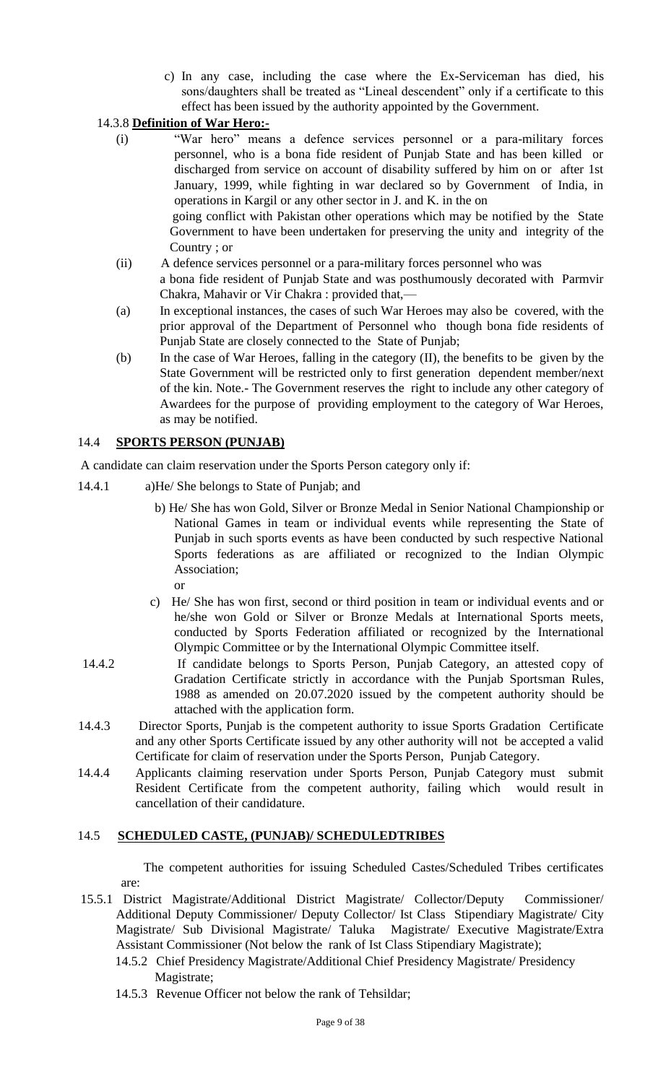c) In any case, including the case where the Ex-Serviceman has died, his sons/daughters shall be treated as "Lineal descendent" only if a certificate to this effect has been issued by the authority appointed by the Government.

#### 14.3.8 **Definition of War Hero:-**

(i) "War hero" means a defence services personnel or a para-military forces personnel, who is a bona fide resident of Punjab State and has been killed or discharged from service on account of disability suffered by him on or after 1st January, 1999, while fighting in war declared so by Government of India, in operations in Kargil or any other sector in J. and K. in the on going conflict with Pakistan other operations which may be notified by the State

Government to have been undertaken for preserving the unity and integrity of the Country ; or

- (ii) A defence services personnel or a para-military forces personnel who was a bona fide resident of Punjab State and was posthumously decorated with Parmvir Chakra, Mahavir or Vir Chakra : provided that,—
- (a) In exceptional instances, the cases of such War Heroes may also be covered, with the prior approval of the Department of Personnel who though bona fide residents of Punjab State are closely connected to the State of Punjab;
- (b) In the case of War Heroes, falling in the category (II), the benefits to be given by the State Government will be restricted only to first generation dependent member/next of the kin. Note.- The Government reserves the right to include any other category of Awardees for the purpose of providing employment to the category of War Heroes, as may be notified.

#### 14.4 **SPORTS PERSON (PUNJAB)**

A candidate can claim reservation under the Sports Person category only if:

- 14.4.1 a)He/ She belongs to State of Punjab; and
	- b) He/ She has won Gold, Silver or Bronze Medal in Senior National Championship or National Games in team or individual events while representing the State of Punjab in such sports events as have been conducted by such respective National Sports federations as are affiliated or recognized to the Indian Olympic Association;
		- or
	- c) He/ She has won first, second or third position in team or individual events and or he/she won Gold or Silver or Bronze Medals at International Sports meets, conducted by Sports Federation affiliated or recognized by the International Olympic Committee or by the International Olympic Committee itself.
- 14.4.2 If candidate belongs to Sports Person, Punjab Category, an attested copy of Gradation Certificate strictly in accordance with the Punjab Sportsman Rules, 1988 as amended on 20.07.2020 issued by the competent authority should be attached with the application form.
- 14.4.3 Director Sports, Punjab is the competent authority to issue Sports Gradation Certificate and any other Sports Certificate issued by any other authority will not be accepted a valid Certificate for claim of reservation under the Sports Person, Punjab Category.
- 14.4.4 Applicants claiming reservation under Sports Person, Punjab Category must submit Resident Certificate from the competent authority, failing which would result in cancellation of their candidature.

#### 14.5 **SCHEDULED CASTE, (PUNJAB)/ SCHEDULEDTRIBES**

The competent authorities for issuing Scheduled Castes/Scheduled Tribes certificates are:

- 15.5.1 District Magistrate/Additional District Magistrate/ Collector/Deputy Commissioner/ Additional Deputy Commissioner/ Deputy Collector/ Ist Class Stipendiary Magistrate/ City Magistrate/ Sub Divisional Magistrate/ Taluka Magistrate/ Executive Magistrate/Extra Assistant Commissioner (Not below the rank of Ist Class Stipendiary Magistrate);
	- 14.5.2 Chief Presidency Magistrate/Additional Chief Presidency Magistrate/ Presidency Magistrate;
	- 14.5.3 Revenue Officer not below the rank of Tehsildar;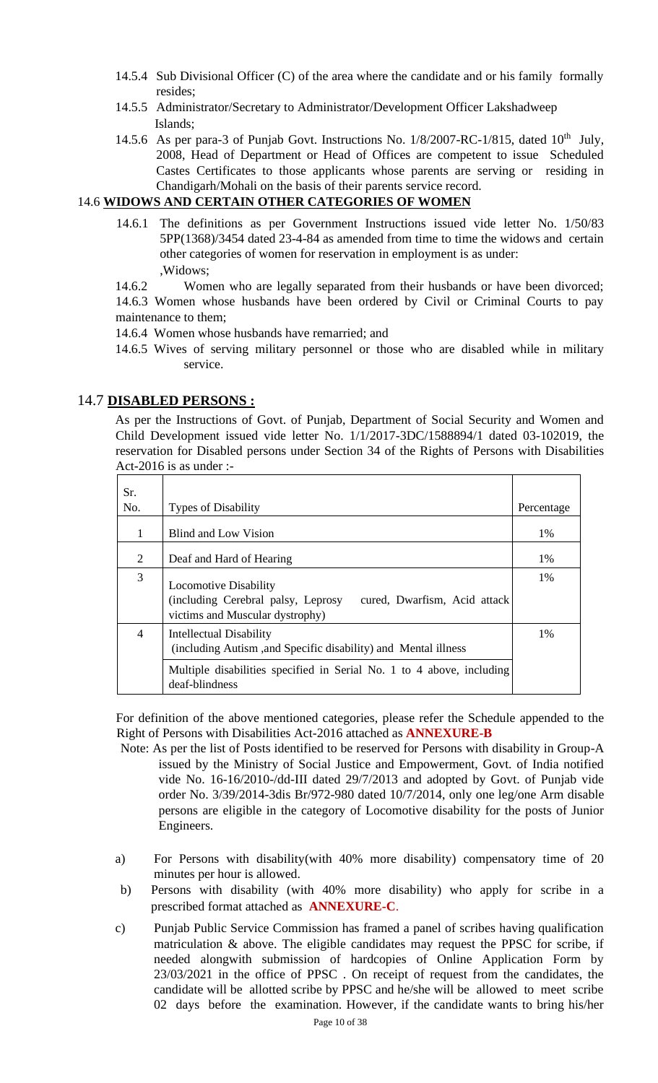- 14.5.4 Sub Divisional Officer (C) of the area where the candidate and or his family formally resides;
- 14.5.5 Administrator/Secretary to Administrator/Development Officer Lakshadweep Islands;
- 14.5.6 As per para-3 of Punjab Govt. Instructions No. 1/8/2007-RC-1/815, dated 10<sup>th</sup> July, 2008, Head of Department or Head of Offices are competent to issue Scheduled Castes Certificates to those applicants whose parents are serving or residing in Chandigarh/Mohali on the basis of their parents service record.

#### 14.6 **WIDOWS AND CERTAIN OTHER CATEGORIES OF WOMEN**

14.6.1 The definitions as per Government Instructions issued vide letter No. 1/50/83 5PP(1368)/3454 dated 23-4-84 as amended from time to time the widows and certain other categories of women for reservation in employment is as under: ,Widows;

14.6.2 Women who are legally separated from their husbands or have been divorced; 14.6.3 Women whose husbands have been ordered by Civil or Criminal Courts to pay maintenance to them;

14.6.4 Women whose husbands have remarried; and

14.6.5 Wives of serving military personnel or those who are disabled while in military service.

#### 14.7 **DISABLED PERSONS :**

As per the Instructions of Govt. of Punjab, Department of Social Security and Women and Child Development issued vide letter No. 1/1/2017-3DC/1588894/1 dated 03-102019, the reservation for Disabled persons under Section 34 of the Rights of Persons with Disabilities Act-2016 is as under :-

| Sr.<br>No. | <b>Types of Disability</b>                                                                                                            | Percentage |
|------------|---------------------------------------------------------------------------------------------------------------------------------------|------------|
| 1          | Blind and Low Vision                                                                                                                  | 1%         |
| 2          | Deaf and Hard of Hearing                                                                                                              | 1%         |
| 3          | <b>Locomotive Disability</b><br>(including Cerebral palsy, Leprosy<br>cured, Dwarfism, Acid attack<br>victims and Muscular dystrophy) | $1\%$      |
| 4          | Intellectual Disability<br>(including Autism, and Specific disability) and Mental illness                                             | $1\%$      |
|            | Multiple disabilities specified in Serial No. 1 to 4 above, including<br>deaf-blindness                                               |            |

For definition of the above mentioned categories, please refer the Schedule appended to the Right of Persons with Disabilities Act-2016 attached as **ANNEXURE-B**

- Note: As per the list of Posts identified to be reserved for Persons with disability in Group-A issued by the Ministry of Social Justice and Empowerment, Govt. of India notified vide No. 16-16/2010-/dd-III dated 29/7/2013 and adopted by Govt. of Punjab vide order No. 3/39/2014-3dis Br/972-980 dated 10/7/2014, only one leg/one Arm disable persons are eligible in the category of Locomotive disability for the posts of Junior Engineers.
- a) For Persons with disability(with 40% more disability) compensatory time of 20 minutes per hour is allowed.
- b) Persons with disability (with 40% more disability) who apply for scribe in a prescribed format attached as **ANNEXURE-C**.
- c) Punjab Public Service Commission has framed a panel of scribes having qualification matriculation & above. The eligible candidates may request the PPSC for scribe, if needed alongwith submission of hardcopies of Online Application Form by 23/03/2021 in the office of PPSC . On receipt of request from the candidates, the candidate will be allotted scribe by PPSC and he/she will be allowed to meet scribe 02 days before the examination. However, if the candidate wants to bring his/her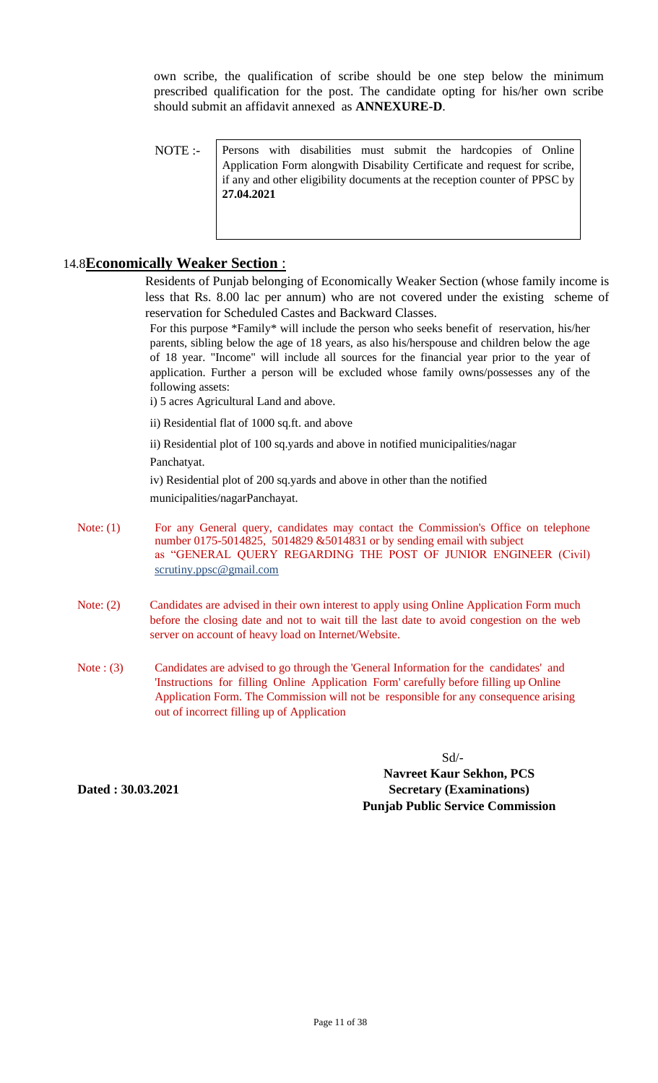own scribe, the qualification of scribe should be one step below the minimum prescribed qualification for the post. The candidate opting for his/her own scribe should submit an affidavit annexed as **ANNEXURE-D**.

NOTE :- Persons with disabilities must submit the hardcopies of Online Application Form alongwith Disability Certificate and request for scribe, if any and other eligibility documents at the reception counter of PPSC by **27.04.2021**

#### 14.8**Economically Weaker Section** :

Residents of Punjab belonging of Economically Weaker Section (whose family income is less that Rs. 8.00 lac per annum) who are not covered under the existing scheme of reservation for Scheduled Castes and Backward Classes.

For this purpose \*Family\* will include the person who seeks benefit of reservation, his/her parents, sibling below the age of 18 years, as also his/herspouse and children below the age of 18 year. "Income" will include all sources for the financial year prior to the year of application. Further a person will be excluded whose family owns/possesses any of the following assets:

i) 5 acres Agricultural Land and above.

ii) Residential flat of 1000 sq.ft. and above

ii) Residential plot of 100 sq.yards and above in notified municipalities/nagar

Panchatyat.

iv) Residential plot of 200 sq.yards and above in other than the notified municipalities/nagarPanchayat.

- 
- Note: (1) For any General query, candidates may contact the Commission's Office on telephone number 0175-5014825, 5014829 &5014831 or by sending email with subject as "GENERAL QUERY REGARDING THE POST OF JUNIOR ENGINEER (Civil) scrutiny.ppsc@gmail.com
- Note: (2) Candidates are advised in their own interest to apply using Online Application Form much before the closing date and not to wait till the last date to avoid congestion on the web server on account of heavy load on Internet/Website.
- Note : (3) Candidates are advised to go through the 'General Information for the candidates' and 'Instructions for filling Online Application Form' carefully before filling up Online Application Form. The Commission will not be responsible for any consequence arising out of incorrect filling up of Application

Sd/-

**Dated : 30.03.2021**

**Navreet Kaur Sekhon, PCS Secretary (Examinations) Punjab Public Service Commission**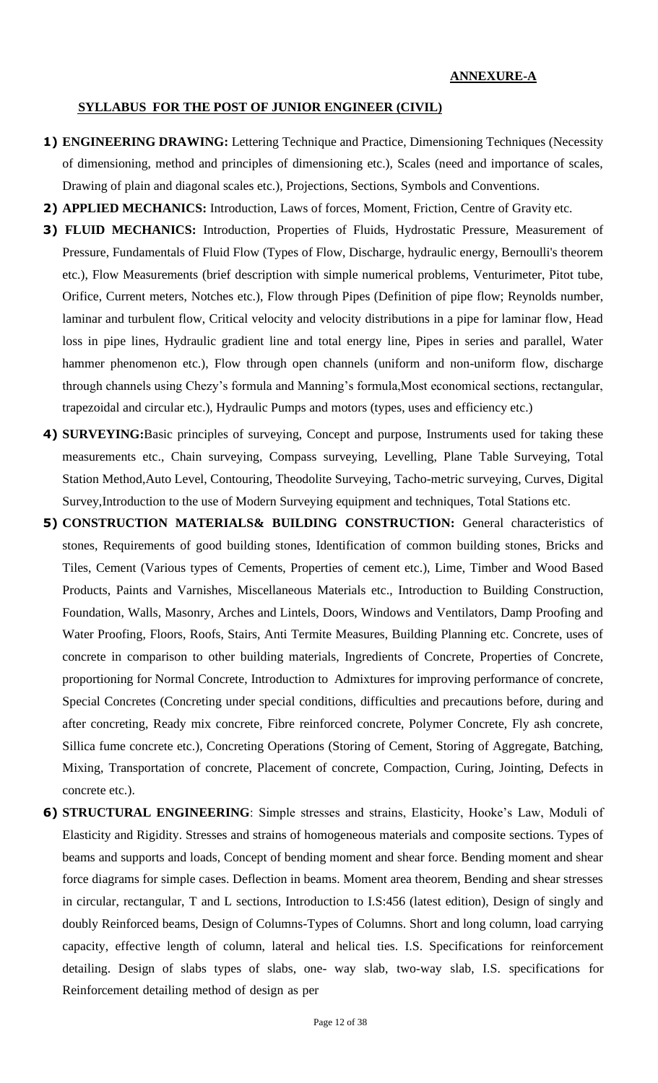#### **ANNEXURE-A**

#### **SYLLABUS FOR THE POST OF JUNIOR ENGINEER (CIVIL)**

- **1) ENGINEERING DRAWING:** Lettering Technique and Practice, Dimensioning Techniques (Necessity of dimensioning, method and principles of dimensioning etc.), Scales (need and importance of scales, Drawing of plain and diagonal scales etc.), Projections, Sections, Symbols and Conventions.
- **2) APPLIED MECHANICS:** Introduction, Laws of forces, Moment, Friction, Centre of Gravity etc.
- **3) FLUID MECHANICS:** Introduction, Properties of Fluids, Hydrostatic Pressure, Measurement of Pressure, Fundamentals of Fluid Flow (Types of Flow, Discharge, hydraulic energy, Bernoulli's theorem etc.), Flow Measurements (brief description with simple numerical problems, Venturimeter, Pitot tube, Orifice, Current meters, Notches etc.), Flow through Pipes (Definition of pipe flow; Reynolds number, laminar and turbulent flow, Critical velocity and velocity distributions in a pipe for laminar flow, Head loss in pipe lines, Hydraulic gradient line and total energy line, Pipes in series and parallel, Water hammer phenomenon etc.), Flow through open channels (uniform and non-uniform flow, discharge through channels using Chezy's formula and Manning's formula,Most economical sections, rectangular, trapezoidal and circular etc.), Hydraulic Pumps and motors (types, uses and efficiency etc.)
- **4) SURVEYING:**Basic principles of surveying, Concept and purpose, Instruments used for taking these measurements etc., Chain surveying, Compass surveying, Levelling, Plane Table Surveying, Total Station Method,Auto Level, Contouring, Theodolite Surveying, Tacho-metric surveying, Curves, Digital Survey,Introduction to the use of Modern Surveying equipment and techniques, Total Stations etc.
- **5) CONSTRUCTION MATERIALS& BUILDING CONSTRUCTION:** General characteristics of stones, Requirements of good building stones, Identification of common building stones, Bricks and Tiles, Cement (Various types of Cements, Properties of cement etc.), Lime, Timber and Wood Based Products, Paints and Varnishes, Miscellaneous Materials etc., Introduction to Building Construction, Foundation, Walls, Masonry, Arches and Lintels, Doors, Windows and Ventilators, Damp Proofing and Water Proofing, Floors, Roofs, Stairs, Anti Termite Measures, Building Planning etc. Concrete, uses of concrete in comparison to other building materials, Ingredients of Concrete, Properties of Concrete, proportioning for Normal Concrete, Introduction to Admixtures for improving performance of concrete, Special Concretes (Concreting under special conditions, difficulties and precautions before, during and after concreting, Ready mix concrete, Fibre reinforced concrete, Polymer Concrete, Fly ash concrete, Sillica fume concrete etc.), Concreting Operations (Storing of Cement, Storing of Aggregate, Batching, Mixing, Transportation of concrete, Placement of concrete, Compaction, Curing, Jointing, Defects in concrete etc.).
- **6) STRUCTURAL ENGINEERING**: Simple stresses and strains, Elasticity, Hooke's Law, Moduli of Elasticity and Rigidity. Stresses and strains of homogeneous materials and composite sections. Types of beams and supports and loads, Concept of bending moment and shear force. Bending moment and shear force diagrams for simple cases. Deflection in beams. Moment area theorem, Bending and shear stresses in circular, rectangular, T and L sections, Introduction to I.S:456 (latest edition), Design of singly and doubly Reinforced beams, Design of Columns-Types of Columns. Short and long column, load carrying capacity, effective length of column, lateral and helical ties. I.S. Specifications for reinforcement detailing. Design of slabs types of slabs, one- way slab, two-way slab, I.S. specifications for Reinforcement detailing method of design as per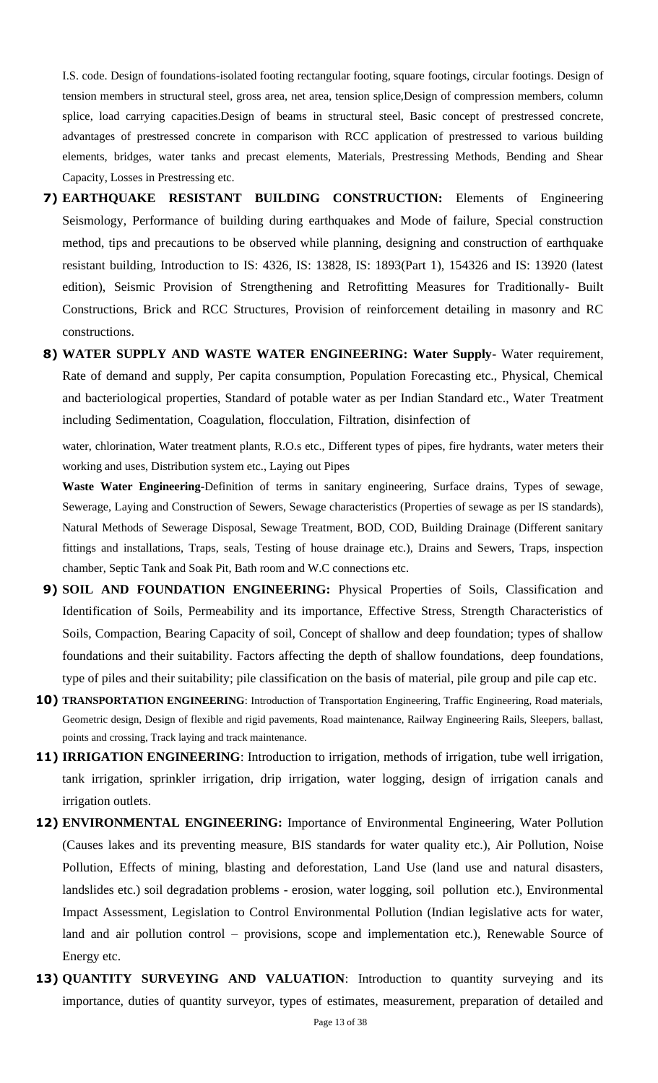I.S. code. Design of foundations-isolated footing rectangular footing, square footings, circular footings. Design of tension members in structural steel, gross area, net area, tension splice,Design of compression members, column splice, load carrying capacities.Design of beams in structural steel, Basic concept of prestressed concrete, advantages of prestressed concrete in comparison with RCC application of prestressed to various building elements, bridges, water tanks and precast elements, Materials, Prestressing Methods, Bending and Shear Capacity, Losses in Prestressing etc.

- **7) EARTHQUAKE RESISTANT BUILDING CONSTRUCTION:** Elements of Engineering Seismology, Performance of building during earthquakes and Mode of failure, Special construction method, tips and precautions to be observed while planning, designing and construction of earthquake resistant building, Introduction to IS: 4326, IS: 13828, IS: 1893(Part 1), 154326 and IS: 13920 (latest edition), Seismic Provision of Strengthening and Retrofitting Measures for Traditionally- Built Constructions, Brick and RCC Structures, Provision of reinforcement detailing in masonry and RC constructions.
- **8) WATER SUPPLY AND WASTE WATER ENGINEERING: Water Supply-** Water requirement, Rate of demand and supply, Per capita consumption, Population Forecasting etc., Physical, Chemical and bacteriological properties, Standard of potable water as per Indian Standard etc., Water Treatment including Sedimentation, Coagulation, flocculation, Filtration, disinfection of

water, chlorination, Water treatment plants, R.O.s etc., Different types of pipes, fire hydrants, water meters their working and uses, Distribution system etc., Laying out Pipes

**Waste Water Engineering-**Definition of terms in sanitary engineering, Surface drains, Types of sewage, Sewerage, Laying and Construction of Sewers, Sewage characteristics (Properties of sewage as per IS standards), Natural Methods of Sewerage Disposal, Sewage Treatment, BOD, COD, Building Drainage (Different sanitary fittings and installations, Traps, seals, Testing of house drainage etc.), Drains and Sewers, Traps, inspection chamber, Septic Tank and Soak Pit, Bath room and W.C connections etc.

- **9) SOIL AND FOUNDATION ENGINEERING:** Physical Properties of Soils, Classification and Identification of Soils, Permeability and its importance, Effective Stress, Strength Characteristics of Soils, Compaction, Bearing Capacity of soil, Concept of shallow and deep foundation; types of shallow foundations and their suitability. Factors affecting the depth of shallow foundations, deep foundations, type of piles and their suitability; pile classification on the basis of material, pile group and pile cap etc.
- **10) TRANSPORTATION ENGINEERING**: Introduction of Transportation Engineering, Traffic Engineering, Road materials, Geometric design, Design of flexible and rigid pavements, Road maintenance, Railway Engineering Rails, Sleepers, ballast, points and crossing, Track laying and track maintenance.
- **11) IRRIGATION ENGINEERING**: Introduction to irrigation, methods of irrigation, tube well irrigation, tank irrigation, sprinkler irrigation, drip irrigation, water logging, design of irrigation canals and irrigation outlets.
- **12) ENVIRONMENTAL ENGINEERING:** Importance of Environmental Engineering, Water Pollution (Causes lakes and its preventing measure, BIS standards for water quality etc.), Air Pollution, Noise Pollution, Effects of mining, blasting and deforestation, Land Use (land use and natural disasters, landslides etc.) soil degradation problems - erosion, water logging, soil pollution etc.), Environmental Impact Assessment, Legislation to Control Environmental Pollution (Indian legislative acts for water, land and air pollution control – provisions, scope and implementation etc.), Renewable Source of Energy etc.
- **13) QUANTITY SURVEYING AND VALUATION**: Introduction to quantity surveying and its importance, duties of quantity surveyor, types of estimates, measurement, preparation of detailed and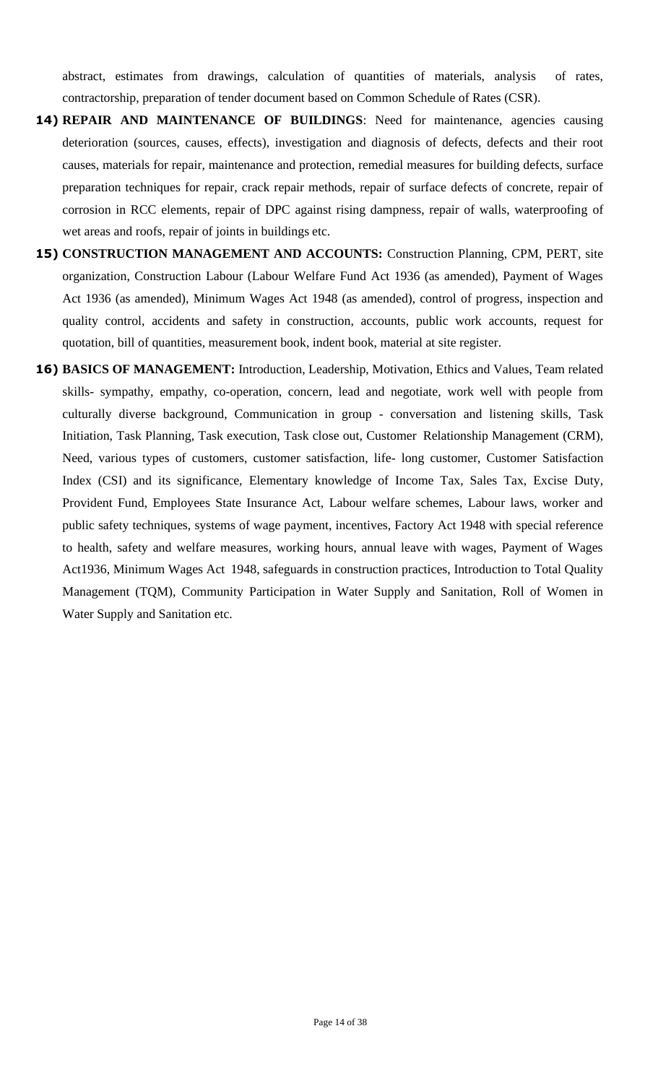abstract, estimates from drawings, calculation of quantities of materials, analysis of rates, contractorship, preparation of tender document based on Common Schedule of Rates (CSR).

- **14) REPAIR AND MAINTENANCE OF BUILDINGS**: Need for maintenance, agencies causing deterioration (sources, causes, effects), investigation and diagnosis of defects, defects and their root causes, materials for repair, maintenance and protection, remedial measures for building defects, surface preparation techniques for repair, crack repair methods, repair of surface defects of concrete, repair of corrosion in RCC elements, repair of DPC against rising dampness, repair of walls, waterproofing of wet areas and roofs, repair of joints in buildings etc.
- **15) CONSTRUCTION MANAGEMENT AND ACCOUNTS:** Construction Planning, CPM, PERT, site organization, Construction Labour (Labour Welfare Fund Act 1936 (as amended), Payment of Wages Act 1936 (as amended), Minimum Wages Act 1948 (as amended), control of progress, inspection and quality control, accidents and safety in construction, accounts, public work accounts, request for quotation, bill of quantities, measurement book, indent book, material at site register.
- **16) BASICS OF MANAGEMENT:** Introduction, Leadership, Motivation, Ethics and Values, Team related skills- sympathy, empathy, co-operation, concern, lead and negotiate, work well with people from culturally diverse background, Communication in group - conversation and listening skills, Task Initiation, Task Planning, Task execution, Task close out, Customer Relationship Management (CRM), Need, various types of customers, customer satisfaction, life- long customer, Customer Satisfaction Index (CSI) and its significance, Elementary knowledge of Income Tax, Sales Tax, Excise Duty, Provident Fund, Employees State Insurance Act, Labour welfare schemes, Labour laws, worker and public safety techniques, systems of wage payment, incentives, Factory Act 1948 with special reference to health, safety and welfare measures, working hours, annual leave with wages, Payment of Wages Act1936, Minimum Wages Act 1948, safeguards in construction practices, Introduction to Total Quality Management (TQM), Community Participation in Water Supply and Sanitation, Roll of Women in Water Supply and Sanitation etc.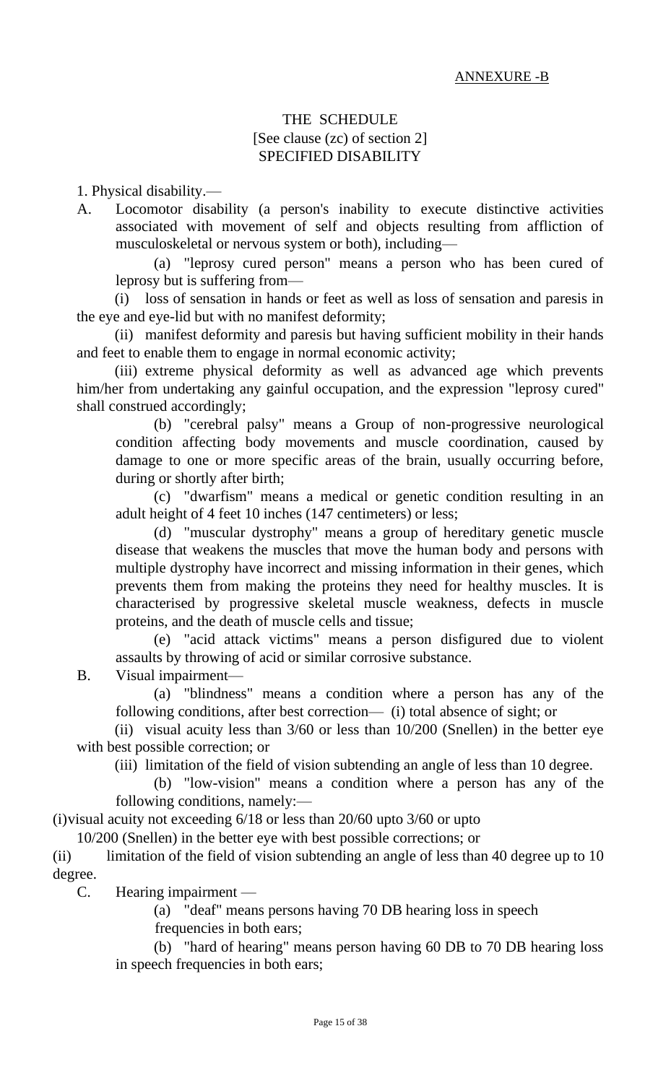## THE SCHEDULE [See clause (zc) of section 2] SPECIFIED DISABILITY

1. Physical disability.—

A. Locomotor disability (a person's inability to execute distinctive activities associated with movement of self and objects resulting from affliction of musculoskeletal or nervous system or both), including—

(a) "leprosy cured person" means a person who has been cured of leprosy but is suffering from—

(i) loss of sensation in hands or feet as well as loss of sensation and paresis in the eye and eye-lid but with no manifest deformity;

(ii) manifest deformity and paresis but having sufficient mobility in their hands and feet to enable them to engage in normal economic activity;

(iii) extreme physical deformity as well as advanced age which prevents him/her from undertaking any gainful occupation, and the expression "leprosy cured" shall construed accordingly;

(b) "cerebral palsy" means a Group of non-progressive neurological condition affecting body movements and muscle coordination, caused by damage to one or more specific areas of the brain, usually occurring before, during or shortly after birth;

(c) "dwarfism" means a medical or genetic condition resulting in an adult height of 4 feet 10 inches (147 centimeters) or less;

(d) "muscular dystrophy" means a group of hereditary genetic muscle disease that weakens the muscles that move the human body and persons with multiple dystrophy have incorrect and missing information in their genes, which prevents them from making the proteins they need for healthy muscles. It is characterised by progressive skeletal muscle weakness, defects in muscle proteins, and the death of muscle cells and tissue;

(e) "acid attack victims" means a person disfigured due to violent assaults by throwing of acid or similar corrosive substance.

B. Visual impairment—

(a) "blindness" means a condition where a person has any of the following conditions, after best correction— (i) total absence of sight; or

(ii) visual acuity less than 3/60 or less than 10/200 (Snellen) in the better eye with best possible correction; or

(iii) limitation of the field of vision subtending an angle of less than 10 degree.

(b) "low-vision" means a condition where a person has any of the following conditions, namely:—

(i)visual acuity not exceeding 6/18 or less than 20/60 upto 3/60 or upto

10/200 (Snellen) in the better eye with best possible corrections; or

(ii) limitation of the field of vision subtending an angle of less than 40 degree up to 10 degree.

C. Hearing impairment —

(a) "deaf" means persons having 70 DB hearing loss in speech frequencies in both ears;

(b) "hard of hearing" means person having 60 DB to 70 DB hearing loss in speech frequencies in both ears;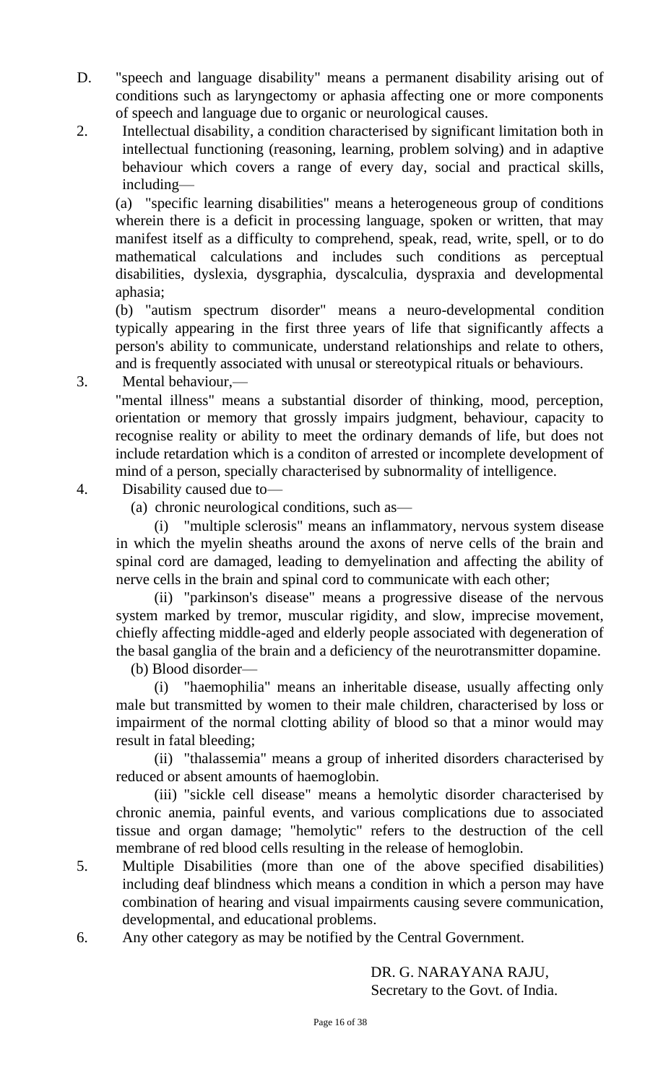- D. "speech and language disability" means a permanent disability arising out of conditions such as laryngectomy or aphasia affecting one or more components of speech and language due to organic or neurological causes.
- 2. Intellectual disability, a condition characterised by significant limitation both in intellectual functioning (reasoning, learning, problem solving) and in adaptive behaviour which covers a range of every day, social and practical skills, including—

(a) "specific learning disabilities" means a heterogeneous group of conditions wherein there is a deficit in processing language, spoken or written, that may manifest itself as a difficulty to comprehend, speak, read, write, spell, or to do mathematical calculations and includes such conditions as perceptual disabilities, dyslexia, dysgraphia, dyscalculia, dyspraxia and developmental aphasia;

(b) "autism spectrum disorder" means a neuro-developmental condition typically appearing in the first three years of life that significantly affects a person's ability to communicate, understand relationships and relate to others, and is frequently associated with unusal or stereotypical rituals or behaviours.

3. Mental behaviour,—

"mental illness" means a substantial disorder of thinking, mood, perception, orientation or memory that grossly impairs judgment, behaviour, capacity to recognise reality or ability to meet the ordinary demands of life, but does not include retardation which is a conditon of arrested or incomplete development of mind of a person, specially characterised by subnormality of intelligence.

- 4. Disability caused due to—
	- (a) chronic neurological conditions, such as—

(i) "multiple sclerosis" means an inflammatory, nervous system disease in which the myelin sheaths around the axons of nerve cells of the brain and spinal cord are damaged, leading to demyelination and affecting the ability of nerve cells in the brain and spinal cord to communicate with each other;

(ii) "parkinson's disease" means a progressive disease of the nervous system marked by tremor, muscular rigidity, and slow, imprecise movement, chiefly affecting middle-aged and elderly people associated with degeneration of the basal ganglia of the brain and a deficiency of the neurotransmitter dopamine.

(b) Blood disorder—

(i) "haemophilia" means an inheritable disease, usually affecting only male but transmitted by women to their male children, characterised by loss or impairment of the normal clotting ability of blood so that a minor would may result in fatal bleeding;

(ii) "thalassemia" means a group of inherited disorders characterised by reduced or absent amounts of haemoglobin.

(iii) "sickle cell disease" means a hemolytic disorder characterised by chronic anemia, painful events, and various complications due to associated tissue and organ damage; "hemolytic" refers to the destruction of the cell membrane of red blood cells resulting in the release of hemoglobin.

- 5. Multiple Disabilities (more than one of the above specified disabilities) including deaf blindness which means a condition in which a person may have combination of hearing and visual impairments causing severe communication, developmental, and educational problems.
- 6. Any other category as may be notified by the Central Government.

DR. G. NARAYANA RAJU, Secretary to the Govt. of India.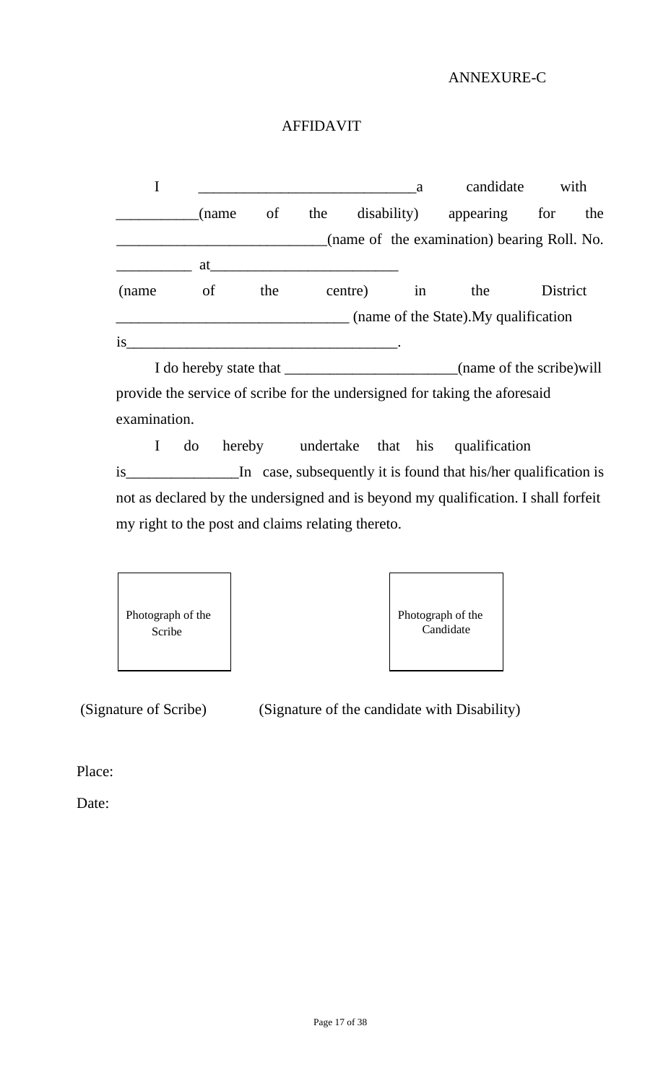### ANNEXURE-C

### AFFIDAVIT

|       |                              |     |     |             | a  | candidate                                   | with     |     |
|-------|------------------------------|-----|-----|-------------|----|---------------------------------------------|----------|-----|
|       | (name                        | of  | the | disability) |    | appearing                                   | for      | the |
|       |                              |     |     |             |    | (name of the examination) bearing Roll. No. |          |     |
|       | at                           |     |     |             |    |                                             |          |     |
| (name | of                           | the |     | centre)     | in | the                                         | District |     |
|       |                              |     |     |             |    | (name of the State). My qualification       |          |     |
| is    |                              |     |     |             |    |                                             |          |     |
|       | I do hereby state that _____ |     |     |             |    | (name of the scribe) will                   |          |     |

provide the service of scribe for the undersigned for taking the aforesaid examination.

I do hereby undertake that his qualification is\_\_\_\_\_\_\_\_\_\_\_\_\_\_\_In case, subsequently it is found that his/her qualification is not as declared by the undersigned and is beyond my qualification. I shall forfeit my right to the post and claims relating thereto.





(Signature of Scribe) (Signature of the candidate with Disability)

Place:

Date: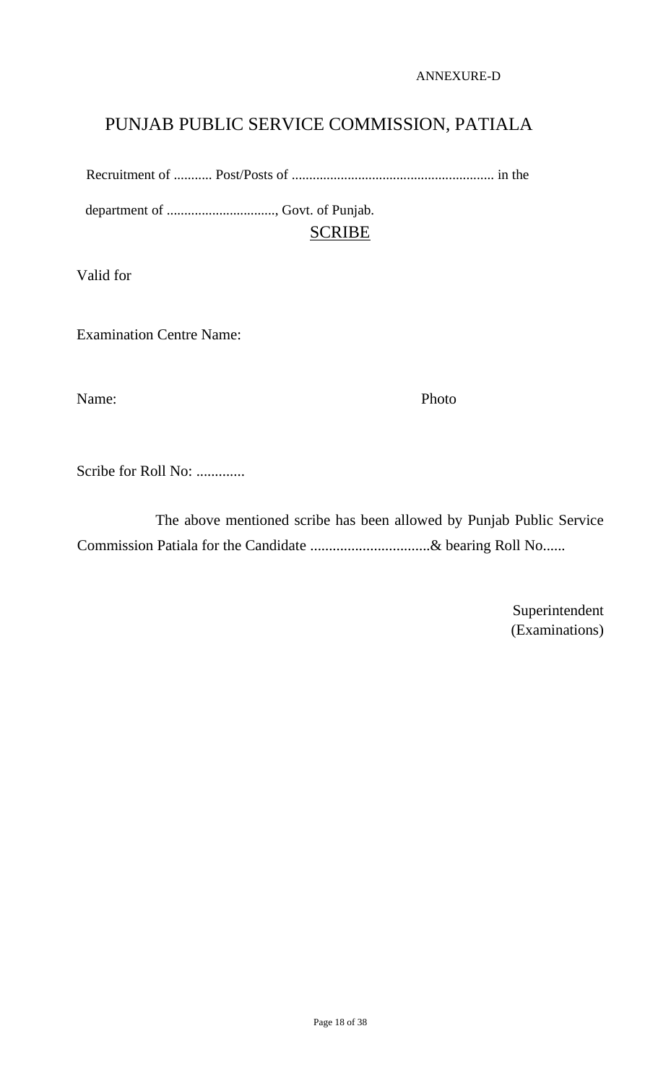ANNEXURE-D

# PUNJAB PUBLIC SERVICE COMMISSION, PATIALA

Recruitment of ........... Post/Posts of .......................................................... in the

department of ..............................., Govt. of Punjab. SCRIBE

Valid for

Examination Centre Name:

Name: Photo

Scribe for Roll No: .............

 The above mentioned scribe has been allowed by Punjab Public Service Commission Patiala for the Candidate ................................& bearing Roll No......

> Superintendent (Examinations)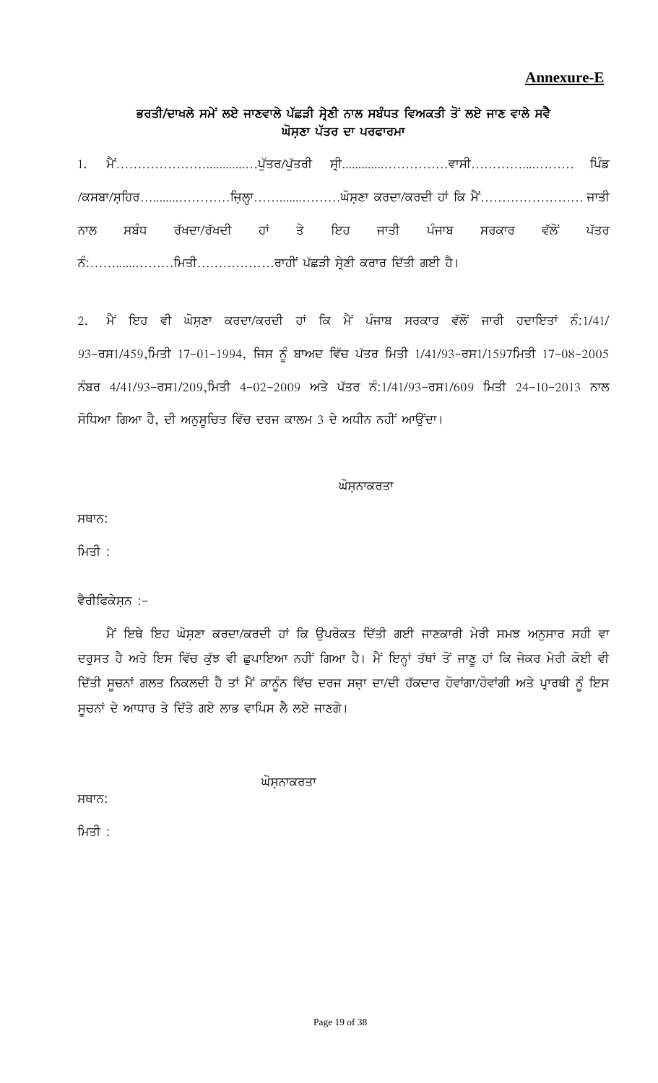## **Annexure-E**

## ਭਰਤੀ/ਦਾਖਲੇ ਸਮੇਂ ਲਏ ਜਾਣਵਾਲੇ ਪੱਛੜੀ ਸ੍ਰੇਣੀ ਨਾਲ ਸਬੰਧਤ ਵਿਅਕਤੀ ਤੋਂ ਲਏ ਜਾਣ ਵਾਲੇ ਸਵੈ ਘੋਸਣਾ ਪੱਤਰ ਦਾ ਪਰਫਾਰਮਾ

1H w?A…………………............…g[Zso\$g[Zsoh ;qh.............……………tk;h…………....……… fgzv \$e;pk\$;afjo…........…………fiabQk…….......………x';aDk eodk\$eodh jK fe w?A…………………… iksh ਨਾਲ ਸਬੰਧ ਰੱਖਦਾ/ਰੱਖਦੀ ਹਾਂ ਤੇ ਇਹ ਜਾਤੀ ਪੰਜਾਬ ਸਰਕਾਰ ਵੱਲੋਂ ਪੱਤਰ BzL……......………fwsh………………okjhA gZSVh ;qa/Dh eoko fdZsh rJh j?.

2. ਮੈਂ ਇਹ ਵੀ ਘੋਸ਼ਣਾ ਕਰਦਾ/ਕਰਦੀ ਹਾਂ ਕਿ ਮੈਂ ਪੰਜਾਬ ਸਰਕਾਰ ਵੱਲੋਂ ਜਾਰੀ ਹਦਾਇਤਾਂ ਨੰ:1/41/  $93$ –ਰਸ1/459,ਮਿਤੀ 17-01-1994, ਜਿਸ ਨੂੰ ਬਾਅਦ ਵਿੱਚ ਪੱਤਰ ਮਿਤੀ 1/41/93–ਰਸ1/1597ਮਿਤੀ 17-08-2005 ਨੰਬਰ 4/41/93-ਰਸ1/209,ਮਿਤੀ 4-02-2009 ਅਤੇ ਪੱਤਰ ਨੰ:1/41/93-ਰਸ1/609 ਮਿਤੀ 24-10-2013 ਨਾਲ ਸੋਧਿਆ ਗਿਆ ਹੈ, ਦੀ ਅਨੁਸੁਚਿਤ ਵਿੱਚ ਦਰਜ ਕਾਲਮ 3 ਦੇ ਅਧੀਨ ਨਹੀਂ ਆਉਂਦਾ।

#### ਘੋਸਨਾਕਰਤਾ

ਸਥਾਨ:

ਮਿਤੀ $\pm$ 

#### ਵੈਰੀਫਿਕੇਸ਼ਨ :-

ਮੈਂ ਇਥੇ ਇਹ ਘੋਸ਼ਣਾ ਕਰਦਾ/ਕਰਦੀ ਹਾਂ ਕਿ ਉਪਰੋਕਤ ਦਿੱਤੀ ਗਈ ਜਾਣਕਾਰੀ ਮੇਰੀ ਸਮਝ ਅਨੁਸਾਰ ਸਹੀ ਵਾ ਦਰੁਸਤ ਹੈ ਅਤੇ ਇਸ ਵਿੱਚ ਕੁੱਝ ਵੀ ਛੁਪਾਇਆ ਨਹੀਂ ਗਿਆ ਹੈ। ਮੈਂ ਇਨ੍ਹਾਂ ਤੱਥਾਂ ਤੋਂ ਜਾਣੂ ਹਾਂ ਕਿ ਜੇਕਰ ਮੇਰੀ ਕੋਈ ਵੀ ਦਿੱਤੀ ਸੂਚਨਾਂ ਗਲਤ ਨਿਕਲਦੀ ਹੈ ਤਾਂ ਮੈਂ ਕਾਨੂੰਨ ਵਿੱਚ ਦਰਜ ਸਜ਼ਾ ਦਾ/ਦੀ ਹੱਕਦਾਰ ਹੋਵਾਂਗਾ/ਹੋਵਾਂਗੀ ਅਤੇ ਪ੍ਰਾਰਥੀ ਨੂੰ ਇਸ ਸੁਚਨਾਂ ਦੇ ਆਧਾਰ ਤੇ ਦਿੱਤੇ ਗਏ ਲਾਭ ਵਾਪਿਸ ਲੈ ਲਏ ਜਾਣਗੇ।

ਘੋਸ਼ਨਾਕਰਤਾ

 $H^{\text{HT}}$ :

ਮਿਤੀ $:$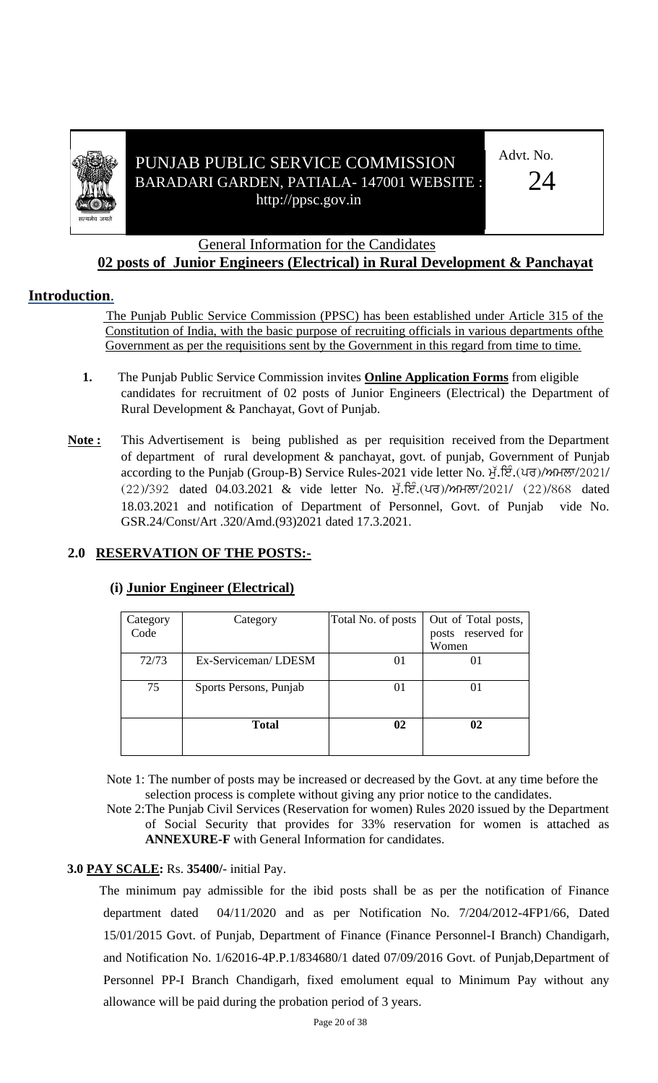

## PUNJAB PUBLIC SERVICE COMMISSION BARADARI GARDEN, PATIALA- 147001 WEBSITE : http://ppsc.gov.in

Advt. No.

 $24$ 

## General Information for the Candidates

## **02 posts of Junior Engineers (Electrical) in Rural Development & Panchayat**

## **Introduction**.

 The Punjab Public Service Commission (PPSC) has been established under Article 315 of the Constitution of India, with the basic purpose of recruiting officials in various departments ofthe Government as per the requisitions sent by the Government in this regard from time to time.

- **1.** The Punjab Public Service Commission invites **Online Application Forms** from eligible candidates for recruitment of 02 posts of Junior Engineers (Electrical) the Department of Rural Development & Panchayat, Govt of Punjab.
- **Note :** This Advertisement is being published as per requisition received from the Department of department of rural development & panchayat, govt. of punjab, Government of Punjab according to the Punjab (Group-B) Service Rules-2021 vide letter No. H. ट्रि. (ਪਰ)/ਅਮਲਾ/2021/  $(22)/392$  dated 04.03.2021 & vide letter No.  $\vec{H}$ .  $E^2$ . (40)/MH $\vec{\sigma}$ /2021/ (22)/868 dated 18.03.2021 and notification of Department of Personnel, Govt. of Punjab vide No. GSR.24/Const/Art .320/Amd.(93)2021 dated 17.3.2021.

## **2.0 RESERVATION OF THE POSTS:-**

| Category<br>Code | Category               | Total No. of posts | Out of Total posts,<br>posts reserved for<br>Women |
|------------------|------------------------|--------------------|----------------------------------------------------|
| 72/73            | Ex-Serviceman/LDESM    | 01                 | 01                                                 |
| 75               | Sports Persons, Punjab | 01                 | 01                                                 |
|                  | <b>Total</b>           | 02                 | 02                                                 |

#### **(i) Junior Engineer (Electrical)**

Note 1: The number of posts may be increased or decreased by the Govt. at any time before the selection process is complete without giving any prior notice to the candidates.

Note 2:The Punjab Civil Services (Reservation for women) Rules 2020 issued by the Department of Social Security that provides for 33% reservation for women is attached as **ANNEXURE-F** with General Information for candidates.

#### **3.0 PAY SCALE:** Rs. **35400/**- initial Pay.

The minimum pay admissible for the ibid posts shall be as per the notification of Finance department dated 04/11/2020 and as per Notification No. 7/204/2012-4FP1/66, Dated 15/01/2015 Govt. of Punjab, Department of Finance (Finance Personnel-I Branch) Chandigarh, and Notification No. 1/62016-4P.P.1/834680/1 dated 07/09/2016 Govt. of Punjab,Department of Personnel PP-I Branch Chandigarh, fixed emolument equal to Minimum Pay without any allowance will be paid during the probation period of 3 years.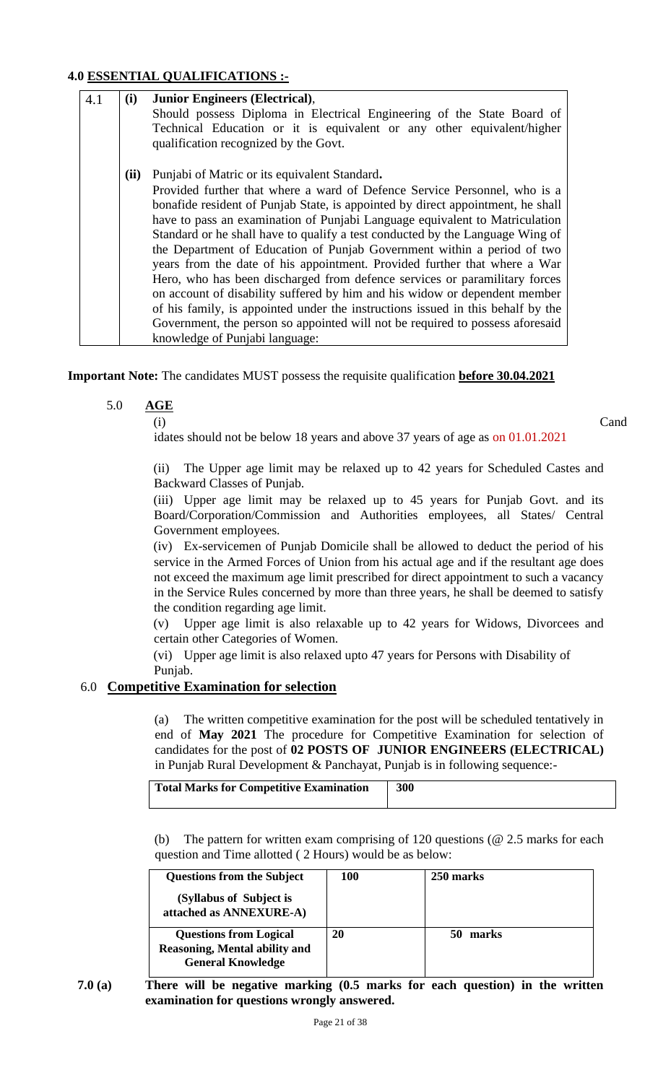#### **4.0 ESSENTIAL QUALIFICATIONS :-**

| 4.1 | (i)  | <b>Junior Engineers (Electrical),</b>                                           |
|-----|------|---------------------------------------------------------------------------------|
|     |      | Should possess Diploma in Electrical Engineering of the State Board of          |
|     |      | Technical Education or it is equivalent or any other equivalent/higher          |
|     |      | qualification recognized by the Govt.                                           |
|     | (ii) | Punjabi of Matric or its equivalent Standard.                                   |
|     |      | Provided further that where a ward of Defence Service Personnel, who is a       |
|     |      | bonafide resident of Punjab State, is appointed by direct appointment, he shall |
|     |      | have to pass an examination of Punjabi Language equivalent to Matriculation     |
|     |      | Standard or he shall have to qualify a test conducted by the Language Wing of   |
|     |      | the Department of Education of Punjab Government within a period of two         |
|     |      | years from the date of his appointment. Provided further that where a War       |
|     |      | Hero, who has been discharged from defence services or paramilitary forces      |
|     |      | on account of disability suffered by him and his widow or dependent member      |
|     |      | of his family, is appointed under the instructions issued in this behalf by the |
|     |      | Government, the person so appointed will not be required to possess aforesaid   |
|     |      | knowledge of Punjabi language:                                                  |

**Important Note:** The candidates MUST possess the requisite qualification **before 30.04.2021** 

5.0 **AGE**

(i) Cand

(ii) The Upper age limit may be relaxed up to 42 years for Scheduled Castes and Backward Classes of Punjab.

idates should not be below 18 years and above 37 years of age as on 01.01.2021

(iii) Upper age limit may be relaxed up to 45 years for Punjab Govt. and its Board/Corporation/Commission and Authorities employees, all States/ Central Government employees.

(iv) Ex-servicemen of Punjab Domicile shall be allowed to deduct the period of his service in the Armed Forces of Union from his actual age and if the resultant age does not exceed the maximum age limit prescribed for direct appointment to such a vacancy in the Service Rules concerned by more than three years, he shall be deemed to satisfy the condition regarding age limit.

(v) Upper age limit is also relaxable up to 42 years for Widows, Divorcees and certain other Categories of Women.

(vi) Upper age limit is also relaxed upto 47 years for Persons with Disability of Punjab.

## 6.0 **Competitive Examination for selection**

(a) The written competitive examination for the post will be scheduled tentatively in end of **May 2021** The procedure for Competitive Examination for selection of candidates for the post of **02 POSTS OF JUNIOR ENGINEERS (ELECTRICAL)** in Punjab Rural Development & Panchayat, Punjab is in following sequence:-

| Total Marks for Competitive Examination | 300 |
|-----------------------------------------|-----|
|-----------------------------------------|-----|

(b) The pattern for written exam comprising of 120 questions (@ 2.5 marks for each question and Time allotted ( 2 Hours) would be as below:

| <b>Questions from the Subject</b>                                                                 | 100 | 250 marks |  |
|---------------------------------------------------------------------------------------------------|-----|-----------|--|
| (Syllabus of Subject is<br>attached as ANNEXURE-A)                                                |     |           |  |
| <b>Questions from Logical</b><br><b>Reasoning, Mental ability and</b><br><b>General Knowledge</b> | 20  | marks     |  |

**7.0 (a) There will be negative marking (0.5 marks for each question) in the written examination for questions wrongly answered.**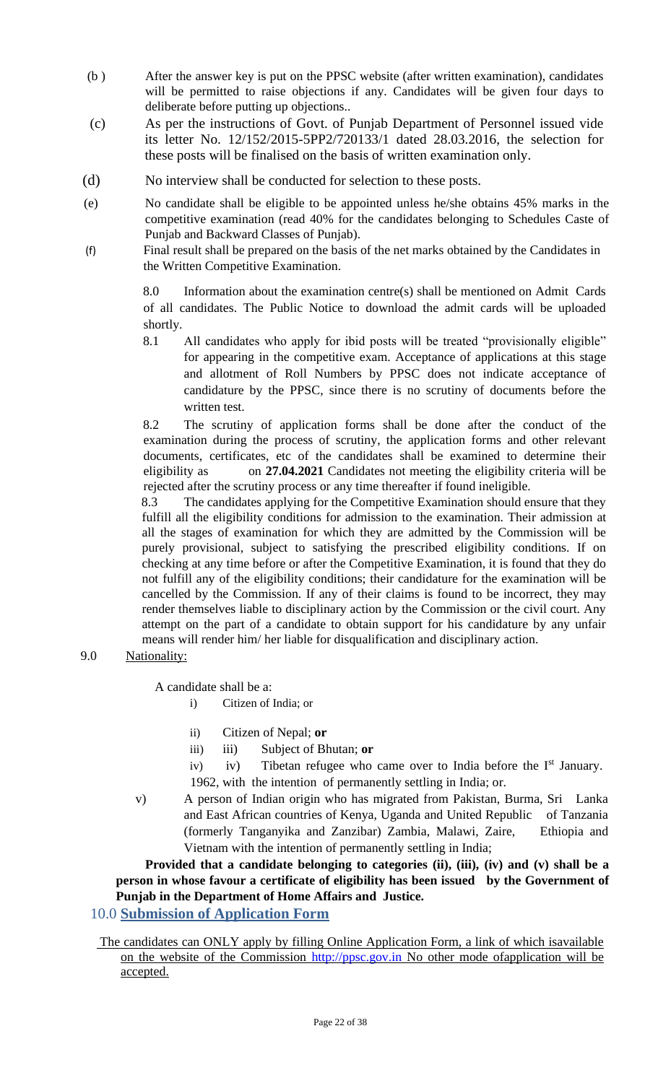- (b ) After the answer key is put on the PPSC website (after written examination), candidates will be permitted to raise objections if any. Candidates will be given four days to deliberate before putting up objections..
- (c) As per the instructions of Govt. of Punjab Department of Personnel issued vide its letter No. 12/152/2015-5PP2/720133/1 dated 28.03.2016, the selection for these posts will be finalised on the basis of written examination only.
- (d) No interview shall be conducted for selection to these posts.
- (e) No candidate shall be eligible to be appointed unless he/she obtains 45% marks in the competitive examination (read 40% for the candidates belonging to Schedules Caste of Punjab and Backward Classes of Punjab).
- (f) Final result shall be prepared on the basis of the net marks obtained by the Candidates in the Written Competitive Examination.

8.0 Information about the examination centre(s) shall be mentioned on Admit Cards of all candidates. The Public Notice to download the admit cards will be uploaded shortly.

8.1 All candidates who apply for ibid posts will be treated "provisionally eligible" for appearing in the competitive exam. Acceptance of applications at this stage and allotment of Roll Numbers by PPSC does not indicate acceptance of candidature by the PPSC, since there is no scrutiny of documents before the written test.

8.2 The scrutiny of application forms shall be done after the conduct of the examination during the process of scrutiny, the application forms and other relevant documents, certificates, etc of the candidates shall be examined to determine their eligibility as on **27.04.2021** Candidates not meeting the eligibility criteria will be rejected after the scrutiny process or any time thereafter if found ineligible.

8.3 The candidates applying for the Competitive Examination should ensure that they fulfill all the eligibility conditions for admission to the examination. Their admission at all the stages of examination for which they are admitted by the Commission will be purely provisional, subject to satisfying the prescribed eligibility conditions. If on checking at any time before or after the Competitive Examination, it is found that they do not fulfill any of the eligibility conditions; their candidature for the examination will be cancelled by the Commission. If any of their claims is found to be incorrect, they may render themselves liable to disciplinary action by the Commission or the civil court. Any attempt on the part of a candidate to obtain support for his candidature by any unfair means will render him/ her liable for disqualification and disciplinary action.

#### 9.0 Nationality:

A candidate shall be a:

- i) Citizen of India; or
- ii) Citizen of Nepal; **or**
- iii) iii) Subject of Bhutan; **or**
- iv) iv) Tibetan refugee who came over to India before the  $I<sup>st</sup>$  January. 1962, with the intention of permanently settling in India; or.
- v) A person of Indian origin who has migrated from Pakistan, Burma, Sri Lanka and East African countries of Kenya, Uganda and United Republic of Tanzania (formerly Tanganyika and Zanzibar) Zambia, Malawi, Zaire, Ethiopia and Vietnam with the intention of permanently settling in India;

Provided that a candidate belonging to categories (ii), (iii), (iv) and (v) shall be a **person in whose favour a certificate of eligibility has been issued by the Government of Punjab in the Department of Home Affairs and Justice.** 

## 10.0 **Submission of Application Form**

The candidates can ONLY apply by filling Online Application Form, a link of which isavailable on the website of the Commission http://ppsc.gov.in No other mode ofapplication will be accepted.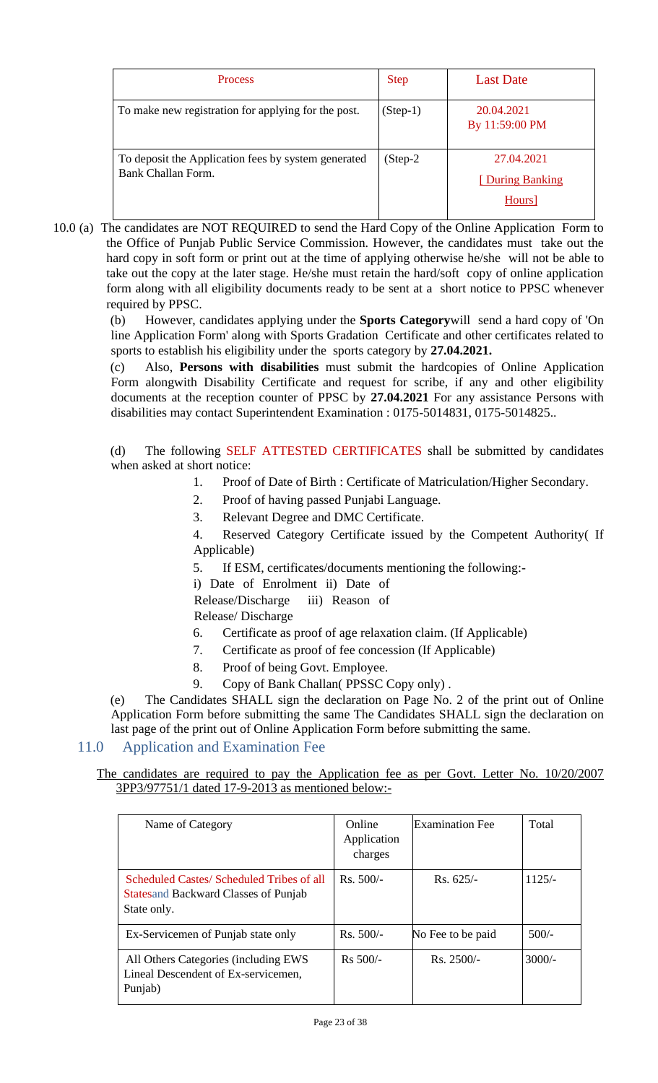| <b>Process</b>                                                            | <b>Step</b> | Last Date                                |
|---------------------------------------------------------------------------|-------------|------------------------------------------|
| To make new registration for applying for the post.                       | $(Step-1)$  | 20.04.2021<br>By 11:59:00 PM             |
| To deposit the Application fees by system generated<br>Bank Challan Form. | $(Step-2)$  | 27.04.2021<br>[During Banking]<br>Hours] |

10.0 (a) The candidates are NOT REQUIRED to send the Hard Copy of the Online Application Form to the Office of Punjab Public Service Commission. However, the candidates must take out the hard copy in soft form or print out at the time of applying otherwise he/she will not be able to take out the copy at the later stage. He/she must retain the hard/soft copy of online application form along with all eligibility documents ready to be sent at a short notice to PPSC whenever required by PPSC.

> (b) However, candidates applying under the **Sports Category**will send a hard copy of 'On line Application Form' along with Sports Gradation Certificate and other certificates related to sports to establish his eligibility under the sports category by **27.04.2021.**

> (c) Also, **Persons with disabilities** must submit the hardcopies of Online Application Form alongwith Disability Certificate and request for scribe, if any and other eligibility documents at the reception counter of PPSC by **27.04.2021** For any assistance Persons with disabilities may contact Superintendent Examination : 0175-5014831, 0175-5014825..

> (d) The following SELF ATTESTED CERTIFICATES shall be submitted by candidates when asked at short notice:

- 1. Proof of Date of Birth : Certificate of Matriculation/Higher Secondary.
- 2. Proof of having passed Punjabi Language.
- 3. Relevant Degree and DMC Certificate.

4. Reserved Category Certificate issued by the Competent Authority( If Applicable)

5. If ESM, certificates/documents mentioning the following:-

i) Date of Enrolment ii) Date of

Release/Discharge iii) Reason of Release/ Discharge

- 6. Certificate as proof of age relaxation claim. (If Applicable)
- 7. Certificate as proof of fee concession (If Applicable)
- 8. Proof of being Govt. Employee.
- 9. Copy of Bank Challan(PPSSC Copy only).

(e) The Candidates SHALL sign the declaration on Page No. 2 of the print out of Online Application Form before submitting the same The Candidates SHALL sign the declaration on last page of the print out of Online Application Form before submitting the same.

#### 11.0 Application and Examination Fee

The candidates are required to pay the Application fee as per Govt. Letter No. 10/20/2007 3PP3/97751/1 dated 17-9-2013 as mentioned below:-

| Name of Category                                                                                         | Online<br>Application<br>charges | <b>Examination Fee</b> | Total    |
|----------------------------------------------------------------------------------------------------------|----------------------------------|------------------------|----------|
| Scheduled Castes/ Scheduled Tribes of all<br><b>States and Backward Classes of Punjab</b><br>State only. | Rs. 500/-                        | $Rs. 625/-$            | $1125/-$ |
| Ex-Servicemen of Punjab state only                                                                       | Rs. 500/-                        | No Fee to be paid      | $500/-$  |
| All Others Categories (including EWS<br>Lineal Descendent of Ex-servicemen,<br>Punjab)                   | $Rs 500/-$                       | $Rs. 2500/-$           | $3000/-$ |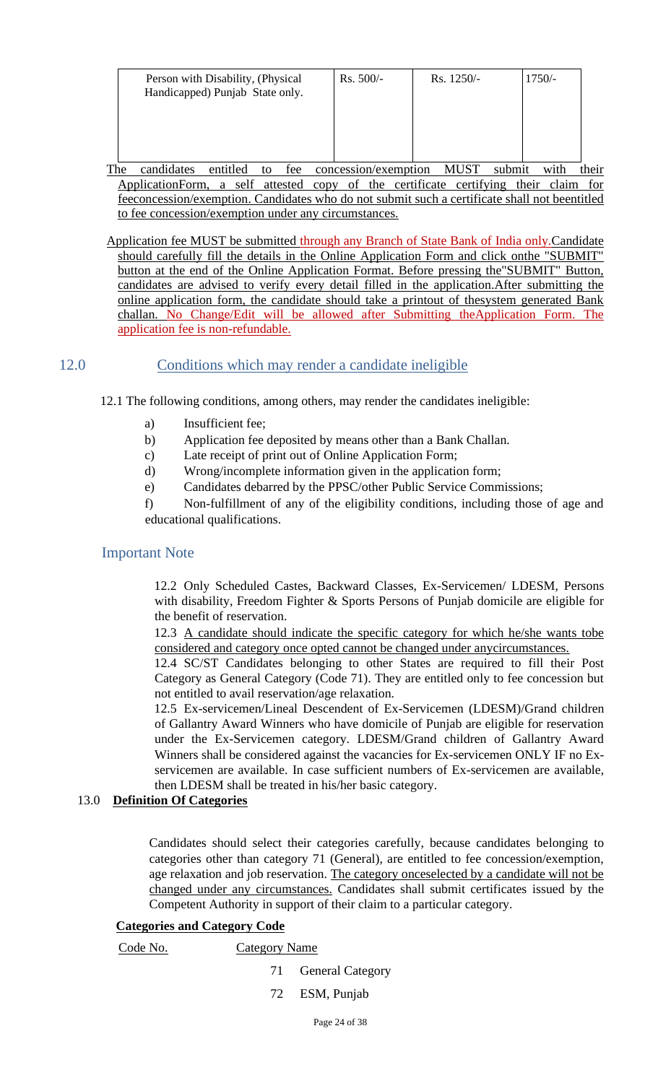| Person with Disability, (Physical<br>Handicapped) Punjab State only. | $Rs. 500/-$ | $Rs. 1250/-$ | $1750/-$ |
|----------------------------------------------------------------------|-------------|--------------|----------|
|                                                                      |             |              |          |
|                                                                      |             |              |          |

The candidates entitled to fee concession/exemption MUST submit with their ApplicationForm, a self attested copy of the certificate certifying their claim for feeconcession/exemption. Candidates who do not submit such a certificate shall not beentitled to fee concession/exemption under any circumstances.

Application fee MUST be submitted through any Branch of State Bank of India only.Candidate should carefully fill the details in the Online Application Form and click onthe "SUBMIT" button at the end of the Online Application Format. Before pressing the"SUBMIT" Button, candidates are advised to verify every detail filled in the application.After submitting the online application form, the candidate should take a printout of thesystem generated Bank challan. No Change/Edit will be allowed after Submitting theApplication Form. The application fee is non-refundable.

## 12.0 Conditions which may render a candidate ineligible

12.1 The following conditions, among others, may render the candidates ineligible:

- a) Insufficient fee;
- b) Application fee deposited by means other than a Bank Challan.
- c) Late receipt of print out of Online Application Form;
- d) Wrong/incomplete information given in the application form;
- e) Candidates debarred by the PPSC/other Public Service Commissions;

f) Non-fulfillment of any of the eligibility conditions, including those of age and educational qualifications.

#### Important Note

12.2 Only Scheduled Castes, Backward Classes, Ex-Servicemen/ LDESM, Persons with disability, Freedom Fighter & Sports Persons of Punjab domicile are eligible for the benefit of reservation.

12.3 A candidate should indicate the specific category for which he/she wants tobe considered and category once opted cannot be changed under anycircumstances.

12.4 SC/ST Candidates belonging to other States are required to fill their Post Category as General Category (Code 71). They are entitled only to fee concession but not entitled to avail reservation/age relaxation.

12.5 Ex-servicemen/Lineal Descendent of Ex-Servicemen (LDESM)/Grand children of Gallantry Award Winners who have domicile of Punjab are eligible for reservation under the Ex-Servicemen category. LDESM/Grand children of Gallantry Award Winners shall be considered against the vacancies for Ex-servicemen ONLY IF no Exservicemen are available. In case sufficient numbers of Ex-servicemen are available, then LDESM shall be treated in his/her basic category.

#### 13.0 **Definition Of Categories**

Candidates should select their categories carefully, because candidates belonging to categories other than category 71 (General), are entitled to fee concession/exemption, age relaxation and job reservation. The category onceselected by a candidate will not be changed under any circumstances. Candidates shall submit certificates issued by the Competent Authority in support of their claim to a particular category.

#### **Categories and Category Code**

Code No. Category Name

- 71 General Category
- 72 ESM, Punjab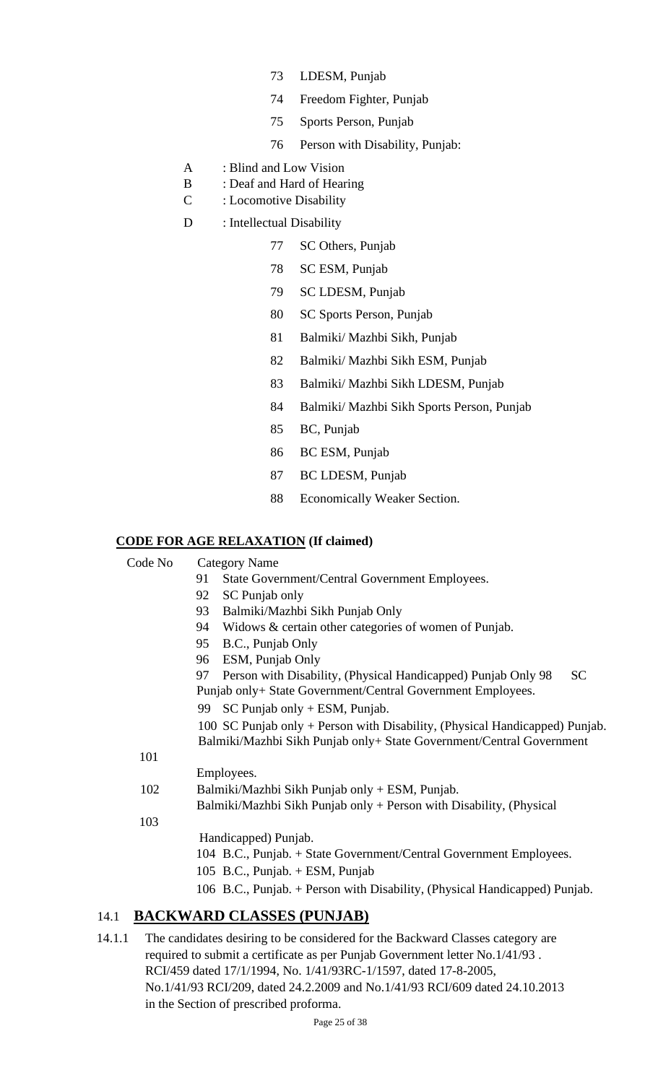- 73 LDESM, Punjab
- 74 Freedom Fighter, Punjab
- 75 Sports Person, Punjab
- 76 Person with Disability, Punjab:
- A : Blind and Low Vision
- B : Deaf and Hard of Hearing
- C : Locomotive Disability
- D : Intellectual Disability
	- 77 SC Others, Punjab
	- 78 SC ESM, Punjab
	- 79 SC LDESM, Punjab
	- 80 SC Sports Person, Punjab
	- 81 Balmiki/ Mazhbi Sikh, Punjab
	- 82 Balmiki/ Mazhbi Sikh ESM, Punjab
	- 83 Balmiki/ Mazhbi Sikh LDESM, Punjab
	- 84 Balmiki/ Mazhbi Sikh Sports Person, Punjab
	- 85 BC, Punjab
	- 86 BC ESM, Punjab
	- 87 BC LDESM, Punjab
	- 88 Economically Weaker Section.

### **CODE FOR AGE RELAXATION (If claimed)**

Code No Category Name 91 State Government/Central Government Employees. 92 SC Punjab only 93 Balmiki/Mazhbi Sikh Punjab Only 94 Widows & certain other categories of women of Punjab. 95 B.C., Punjab Only 96 ESM, Punjab Only 97 Person with Disability, (Physical Handicapped) Punjab Only 98 SC Punjab only+ State Government/Central Government Employees. 99 SC Punjab only + ESM, Punjab. 100 SC Punjab only + Person with Disability, (Physical Handicapped) Punjab. Balmiki/Mazhbi Sikh Punjab only+ State Government/Central Government 101 Employees. 102 Balmiki/Mazhbi Sikh Punjab only + ESM, Punjab. Balmiki/Mazhbi Sikh Punjab only + Person with Disability, (Physical 103 Handicapped) Punjab. 104 B.C., Punjab. + State Government/Central Government Employees. 105 B.C., Punjab. + ESM, Punjab 106 B.C., Punjab. + Person with Disability, (Physical Handicapped) Punjab.

## 14.1 **BACKWARD CLASSES (PUNJAB)**

14.1.1 The candidates desiring to be considered for the Backward Classes category are required to submit a certificate as per Punjab Government letter No.1/41/93 . RCI/459 dated 17/1/1994, No. 1/41/93RC-1/1597, dated 17-8-2005, No.1/41/93 RCI/209, dated 24.2.2009 and No.1/41/93 RCI/609 dated 24.10.2013 in the Section of prescribed proforma.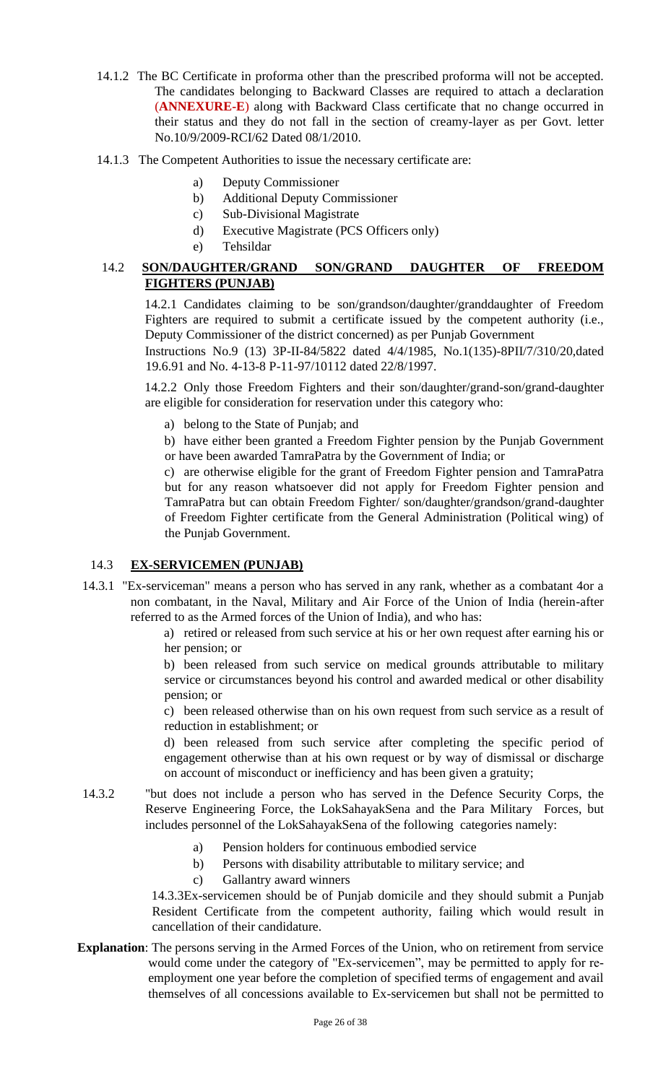- 14.1.2 The BC Certificate in proforma other than the prescribed proforma will not be accepted. The candidates belonging to Backward Classes are required to attach a declaration (**ANNEXURE-E**) along with Backward Class certificate that no change occurred in their status and they do not fall in the section of creamy-layer as per Govt. letter No.10/9/2009-RCI/62 Dated 08/1/2010.
- 14.1.3 The Competent Authorities to issue the necessary certificate are:
	- a) Deputy Commissioner
	- b) Additional Deputy Commissioner
	- c) Sub-Divisional Magistrate
	- d) Executive Magistrate (PCS Officers only)
	- e) Tehsildar

#### 14.2 **SON/DAUGHTER/GRAND SON/GRAND DAUGHTER OF FREEDOM FIGHTERS (PUNJAB)**

14.2.1 Candidates claiming to be son/grandson/daughter/granddaughter of Freedom Fighters are required to submit a certificate issued by the competent authority (i.e., Deputy Commissioner of the district concerned) as per Punjab Government

Instructions No.9 (13) 3P-II-84/5822 dated 4/4/1985, No.1(135)-8PII/7/310/20,dated 19.6.91 and No. 4-13-8 P-11-97/10112 dated 22/8/1997.

14.2.2 Only those Freedom Fighters and their son/daughter/grand-son/grand-daughter are eligible for consideration for reservation under this category who:

- a) belong to the State of Punjab; and
- b) have either been granted a Freedom Fighter pension by the Punjab Government or have been awarded TamraPatra by the Government of India; or

c) are otherwise eligible for the grant of Freedom Fighter pension and TamraPatra but for any reason whatsoever did not apply for Freedom Fighter pension and TamraPatra but can obtain Freedom Fighter/ son/daughter/grandson/grand-daughter of Freedom Fighter certificate from the General Administration (Political wing) of the Punjab Government.

#### 14.3 **EX-SERVICEMEN (PUNJAB)**

14.3.1 "Ex-serviceman" means a person who has served in any rank, whether as a combatant 4or a non combatant, in the Naval, Military and Air Force of the Union of India (herein-after referred to as the Armed forces of the Union of India), and who has:

> a) retired or released from such service at his or her own request after earning his or her pension; or

> b) been released from such service on medical grounds attributable to military service or circumstances beyond his control and awarded medical or other disability pension; or

> c) been released otherwise than on his own request from such service as a result of reduction in establishment; or

> d) been released from such service after completing the specific period of engagement otherwise than at his own request or by way of dismissal or discharge on account of misconduct or inefficiency and has been given a gratuity;

- 14.3.2 "but does not include a person who has served in the Defence Security Corps, the Reserve Engineering Force, the LokSahayakSena and the Para Military Forces, but includes personnel of the LokSahayakSena of the following categories namely:
	- a) Pension holders for continuous embodied service
	- b) Persons with disability attributable to military service; and
	- c) Gallantry award winners

14.3.3Ex-servicemen should be of Punjab domicile and they should submit a Punjab Resident Certificate from the competent authority, failing which would result in cancellation of their candidature.

**Explanation**: The persons serving in the Armed Forces of the Union, who on retirement from service would come under the category of "Ex-servicemen", may be permitted to apply for reemployment one year before the completion of specified terms of engagement and avail themselves of all concessions available to Ex-servicemen but shall not be permitted to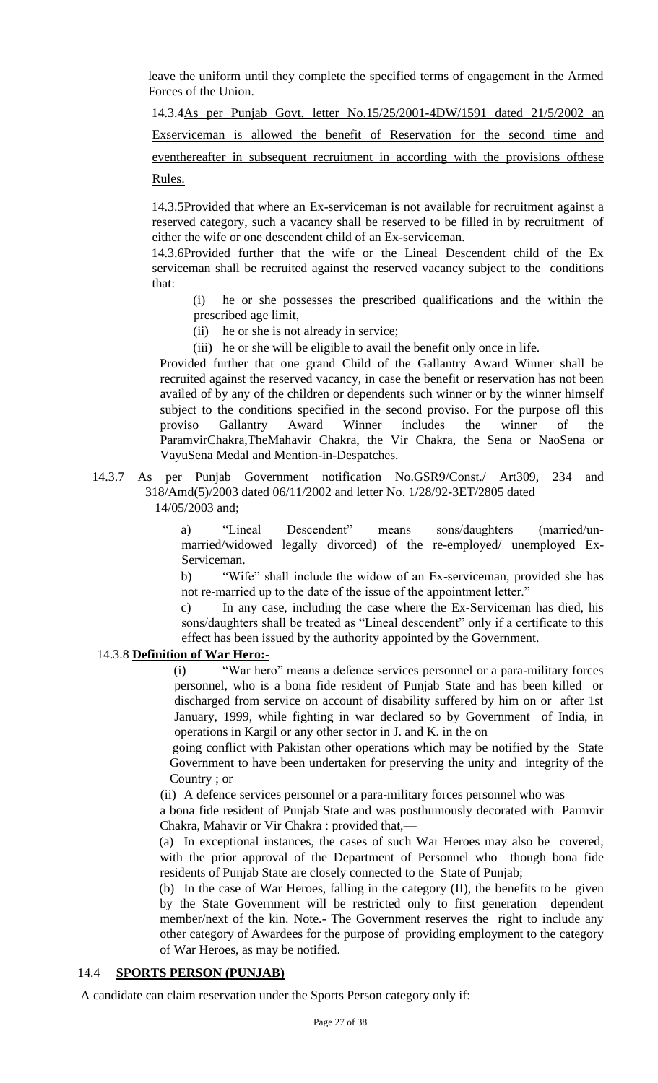leave the uniform until they complete the specified terms of engagement in the Armed Forces of the Union.

14.3.4As per Punjab Govt. letter No.15/25/2001-4DW/1591 dated 21/5/2002 an Exserviceman is allowed the benefit of Reservation for the second time and eventhereafter in subsequent recruitment in according with the provisions ofthese Rules.

14.3.5Provided that where an Ex-serviceman is not available for recruitment against a reserved category, such a vacancy shall be reserved to be filled in by recruitment of either the wife or one descendent child of an Ex-serviceman.

14.3.6Provided further that the wife or the Lineal Descendent child of the Ex serviceman shall be recruited against the reserved vacancy subject to the conditions that:

(i) he or she possesses the prescribed qualifications and the within the prescribed age limit,

- (ii) he or she is not already in service;
- (iii) he or she will be eligible to avail the benefit only once in life.

Provided further that one grand Child of the Gallantry Award Winner shall be recruited against the reserved vacancy, in case the benefit or reservation has not been availed of by any of the children or dependents such winner or by the winner himself subject to the conditions specified in the second proviso. For the purpose ofl this proviso Gallantry Award Winner includes the winner of the ParamvirChakra,TheMahavir Chakra, the Vir Chakra, the Sena or NaoSena or VayuSena Medal and Mention-in-Despatches.

14.3.7 As per Punjab Government notification No.GSR9/Const./ Art309, 234 and 318/Amd(5)/2003 dated 06/11/2002 and letter No. 1/28/92-3ET/2805 dated 14/05/2003 and;

a) "Lineal Descendent" means sons/daughters (married/unmarried/widowed legally divorced) of the re-employed/ unemployed Ex-Serviceman.

b) "Wife" shall include the widow of an Ex-serviceman, provided she has not re-married up to the date of the issue of the appointment letter."

c) In any case, including the case where the Ex-Serviceman has died, his sons/daughters shall be treated as "Lineal descendent" only if a certificate to this effect has been issued by the authority appointed by the Government.

#### 14.3.8 **Definition of War Hero:-**

(i) "War hero" means a defence services personnel or a para-military forces personnel, who is a bona fide resident of Punjab State and has been killed or discharged from service on account of disability suffered by him on or after 1st January, 1999, while fighting in war declared so by Government of India, in operations in Kargil or any other sector in J. and K. in the on

going conflict with Pakistan other operations which may be notified by the State Government to have been undertaken for preserving the unity and integrity of the Country ; or

(ii) A defence services personnel or a para-military forces personnel who was

a bona fide resident of Punjab State and was posthumously decorated with Parmvir Chakra, Mahavir or Vir Chakra : provided that,—

(a) In exceptional instances, the cases of such War Heroes may also be covered, with the prior approval of the Department of Personnel who though bona fide residents of Punjab State are closely connected to the State of Punjab;

(b) In the case of War Heroes, falling in the category (II), the benefits to be given by the State Government will be restricted only to first generation dependent member/next of the kin. Note.- The Government reserves the right to include any other category of Awardees for the purpose of providing employment to the category of War Heroes, as may be notified.

#### 14.4 **SPORTS PERSON (PUNJAB)**

A candidate can claim reservation under the Sports Person category only if: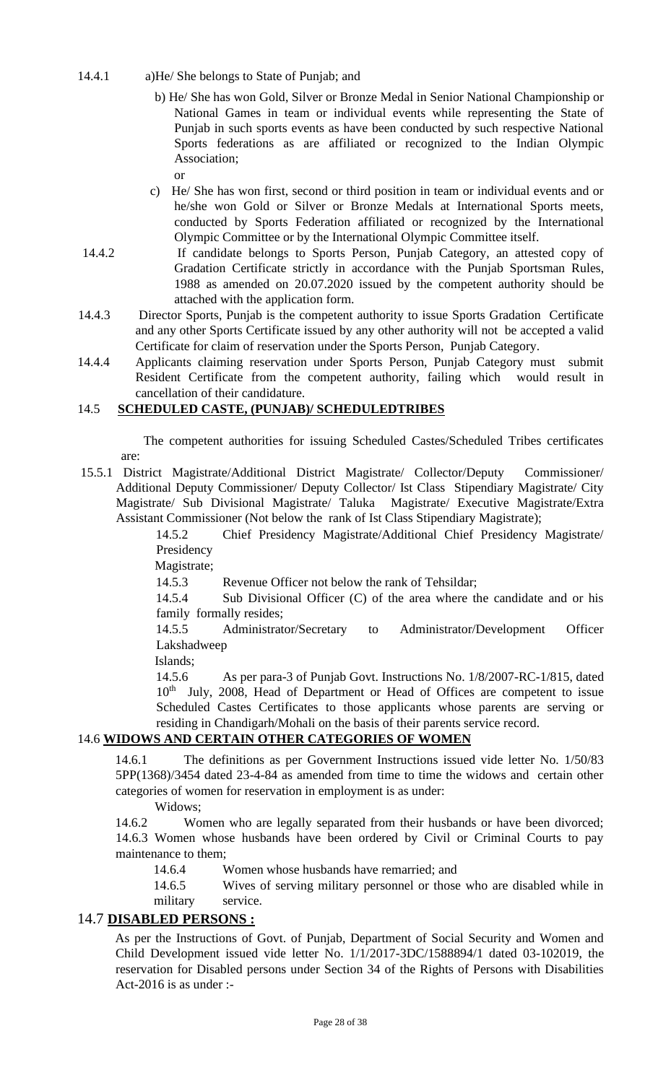14.4.1 a)He/ She belongs to State of Punjab; and

or

- b) He/ She has won Gold, Silver or Bronze Medal in Senior National Championship or National Games in team or individual events while representing the State of Punjab in such sports events as have been conducted by such respective National Sports federations as are affiliated or recognized to the Indian Olympic Association;
- c) He/ She has won first, second or third position in team or individual events and or he/she won Gold or Silver or Bronze Medals at International Sports meets, conducted by Sports Federation affiliated or recognized by the International Olympic Committee or by the International Olympic Committee itself.
- 14.4.2 If candidate belongs to Sports Person, Punjab Category, an attested copy of Gradation Certificate strictly in accordance with the Punjab Sportsman Rules, 1988 as amended on 20.07.2020 issued by the competent authority should be attached with the application form.
- 14.4.3 Director Sports, Punjab is the competent authority to issue Sports Gradation Certificate and any other Sports Certificate issued by any other authority will not be accepted a valid Certificate for claim of reservation under the Sports Person, Punjab Category.
- 14.4.4 Applicants claiming reservation under Sports Person, Punjab Category must submit Resident Certificate from the competent authority, failing which would result in cancellation of their candidature.

#### 14.5 **SCHEDULED CASTE, (PUNJAB)/ SCHEDULEDTRIBES**

The competent authorities for issuing Scheduled Castes/Scheduled Tribes certificates are:

15.5.1 District Magistrate/Additional District Magistrate/ Collector/Deputy Commissioner/ Additional Deputy Commissioner/ Deputy Collector/ Ist Class Stipendiary Magistrate/ City Magistrate/ Sub Divisional Magistrate/ Taluka Magistrate/ Executive Magistrate/Extra Assistant Commissioner (Not below the rank of Ist Class Stipendiary Magistrate);

> 14.5.2 Chief Presidency Magistrate/Additional Chief Presidency Magistrate/ Presidency

Magistrate;

14.5.3 Revenue Officer not below the rank of Tehsildar;

14.5.4 Sub Divisional Officer (C) of the area where the candidate and or his family formally resides;

14.5.5 Administrator/Secretary to Administrator/Development Officer Lakshadweep

Islands;

14.5.6 As per para-3 of Punjab Govt. Instructions No. 1/8/2007-RC-1/815, dated 10<sup>th</sup> July, 2008, Head of Department or Head of Offices are competent to issue Scheduled Castes Certificates to those applicants whose parents are serving or residing in Chandigarh/Mohali on the basis of their parents service record.

### 14.6 **WIDOWS AND CERTAIN OTHER CATEGORIES OF WOMEN**

14.6.1 The definitions as per Government Instructions issued vide letter No. 1/50/83 5PP(1368)/3454 dated 23-4-84 as amended from time to time the widows and certain other categories of women for reservation in employment is as under:

Widows;

14.6.2 Women who are legally separated from their husbands or have been divorced; 14.6.3 Women whose husbands have been ordered by Civil or Criminal Courts to pay maintenance to them;

14.6.4 Women whose husbands have remarried; and

14.6.5 Wives of serving military personnel or those who are disabled while in military service.

#### 14.7 **DISABLED PERSONS :**

As per the Instructions of Govt. of Punjab, Department of Social Security and Women and Child Development issued vide letter No. 1/1/2017-3DC/1588894/1 dated 03-102019, the reservation for Disabled persons under Section 34 of the Rights of Persons with Disabilities Act-2016 is as under :-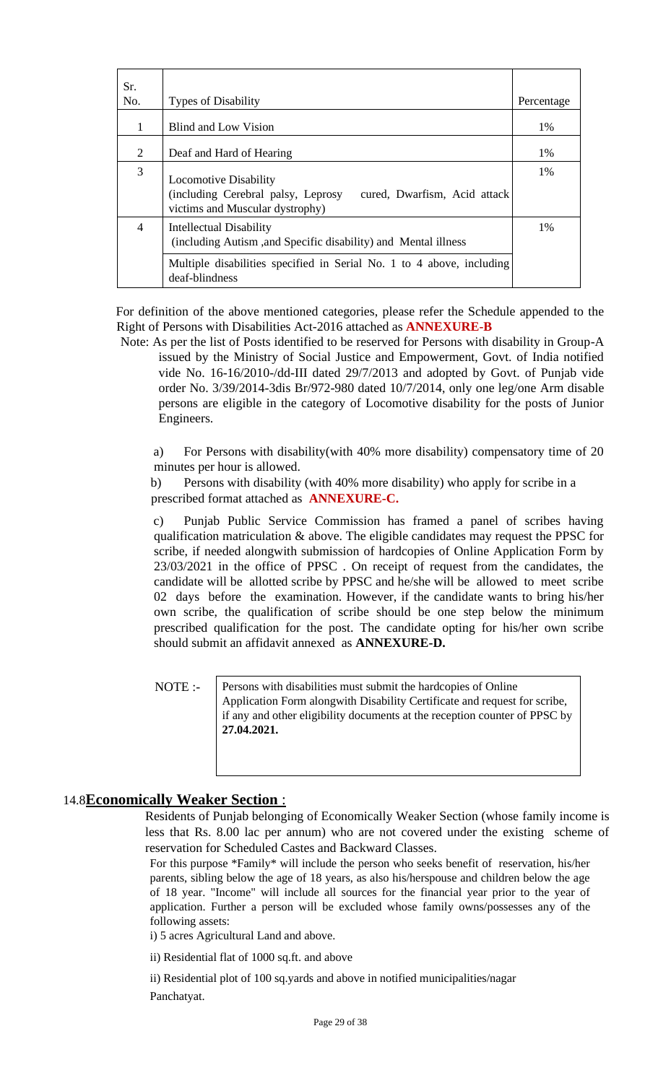| Sr.            |                                                                                                                                       |            |
|----------------|---------------------------------------------------------------------------------------------------------------------------------------|------------|
| No.            | <b>Types of Disability</b>                                                                                                            | Percentage |
| 1              | Blind and Low Vision                                                                                                                  | 1%         |
| $\overline{2}$ | Deaf and Hard of Hearing                                                                                                              | 1%         |
| 3              | <b>Locomotive Disability</b><br>(including Cerebral palsy, Leprosy<br>cured, Dwarfism, Acid attack<br>victims and Muscular dystrophy) | $1\%$      |
| 4              | <b>Intellectual Disability</b><br>(including Autism, and Specific disability) and Mental illness                                      | $1\%$      |
|                | Multiple disabilities specified in Serial No. 1 to 4 above, including<br>deaf-blindness                                               |            |

For definition of the above mentioned categories, please refer the Schedule appended to the Right of Persons with Disabilities Act-2016 attached as **ANNEXURE-B**

Note: As per the list of Posts identified to be reserved for Persons with disability in Group-A issued by the Ministry of Social Justice and Empowerment, Govt. of India notified vide No. 16-16/2010-/dd-III dated 29/7/2013 and adopted by Govt. of Punjab vide order No. 3/39/2014-3dis Br/972-980 dated 10/7/2014, only one leg/one Arm disable persons are eligible in the category of Locomotive disability for the posts of Junior Engineers.

a) For Persons with disability(with 40% more disability) compensatory time of 20 minutes per hour is allowed.

b) Persons with disability (with 40% more disability) who apply for scribe in a prescribed format attached as **ANNEXURE-C.**

c) Punjab Public Service Commission has framed a panel of scribes having qualification matriculation & above. The eligible candidates may request the PPSC for scribe, if needed alongwith submission of hardcopies of Online Application Form by 23/03/2021 in the office of PPSC . On receipt of request from the candidates, the candidate will be allotted scribe by PPSC and he/she will be allowed to meet scribe 02 days before the examination. However, if the candidate wants to bring his/her own scribe, the qualification of scribe should be one step below the minimum prescribed qualification for the post. The candidate opting for his/her own scribe should submit an affidavit annexed as **ANNEXURE-D.**

NOTE :-

Persons with disabilities must submit the hardcopies of Online Application Form alongwith Disability Certificate and request for scribe, if any and other eligibility documents at the reception counter of PPSC by **27.04.2021.**

#### 14.8**Economically Weaker Section** :

Residents of Punjab belonging of Economically Weaker Section (whose family income is less that Rs. 8.00 lac per annum) who are not covered under the existing scheme of reservation for Scheduled Castes and Backward Classes.

For this purpose \*Family\* will include the person who seeks benefit of reservation, his/her parents, sibling below the age of 18 years, as also his/herspouse and children below the age of 18 year. "Income" will include all sources for the financial year prior to the year of application. Further a person will be excluded whose family owns/possesses any of the following assets:

i) 5 acres Agricultural Land and above.

ii) Residential flat of 1000 sq.ft. and above

ii) Residential plot of 100 sq.yards and above in notified municipalities/nagar Panchatyat.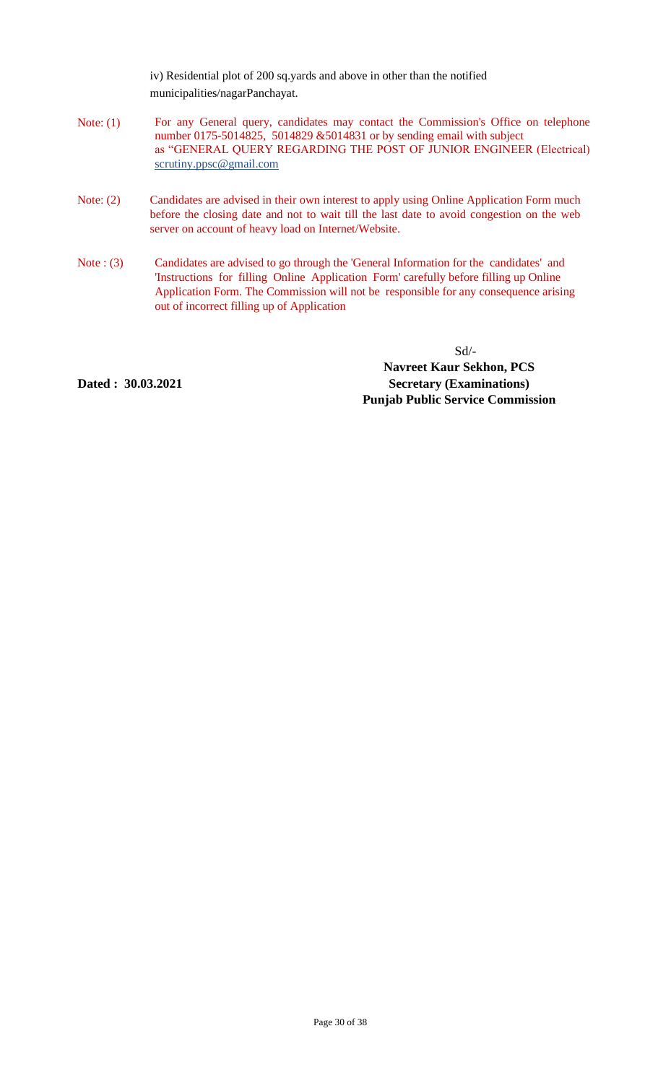iv) Residential plot of 200 sq.yards and above in other than the notified municipalities/nagarPanchayat.

- Note: (1) For any General query, candidates may contact the Commission's Office on telephone number 0175-5014825, 5014829 &5014831 or by sending email with subject as "GENERAL QUERY REGARDING THE POST OF JUNIOR ENGINEER (Electrical) scrutiny.ppsc@gmail.com
- Note: (2) Candidates are advised in their own interest to apply using Online Application Form much before the closing date and not to wait till the last date to avoid congestion on the web server on account of heavy load on Internet/Website.
- Note : (3) Candidates are advised to go through the 'General Information for the candidates' and 'Instructions for filling Online Application Form' carefully before filling up Online Application Form. The Commission will not be responsible for any consequence arising out of incorrect filling up of Application

Sd/- **Navreet Kaur Sekhon, PCS Secretary (Examinations) Punjab Public Service Commission**

**Dated : 30.03.2021**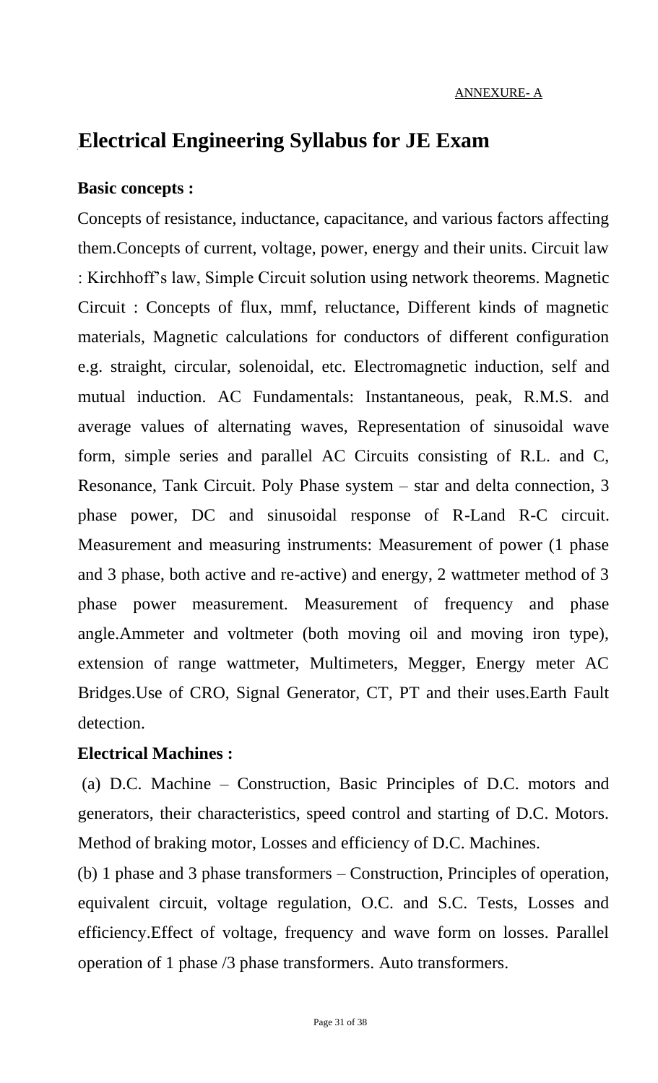# **Electrical Engineering Syllabus for JE Exam**

## **Basic concepts :**

Concepts of resistance, inductance, capacitance, and various factors affecting them.Concepts of current, voltage, power, energy and their units. Circuit law : Kirchhoff's law, Simple Circuit solution using network theorems. Magnetic Circuit : Concepts of flux, mmf, reluctance, Different kinds of magnetic materials, Magnetic calculations for conductors of different configuration e.g. straight, circular, solenoidal, etc. Electromagnetic induction, self and mutual induction. AC Fundamentals: Instantaneous, peak, R.M.S. and average values of alternating waves, Representation of sinusoidal wave form, simple series and parallel AC Circuits consisting of R.L. and C, Resonance, Tank Circuit. Poly Phase system – star and delta connection, 3 phase power, DC and sinusoidal response of R-Land R-C circuit. Measurement and measuring instruments: Measurement of power (1 phase and 3 phase, both active and re-active) and energy, 2 wattmeter method of 3 phase power measurement. Measurement of frequency and phase angle.Ammeter and voltmeter (both moving oil and moving iron type), extension of range wattmeter, Multimeters, Megger, Energy meter AC Bridges.Use of CRO, Signal Generator, CT, PT and their uses.Earth Fault detection.

## **Electrical Machines :**

(a) D.C. Machine – Construction, Basic Principles of D.C. motors and generators, their characteristics, speed control and starting of D.C. Motors. Method of braking motor, Losses and efficiency of D.C. Machines.

(b) 1 phase and 3 phase transformers – Construction, Principles of operation, equivalent circuit, voltage regulation, O.C. and S.C. Tests, Losses and efficiency.Effect of voltage, frequency and wave form on losses. Parallel operation of 1 phase /3 phase transformers. Auto transformers.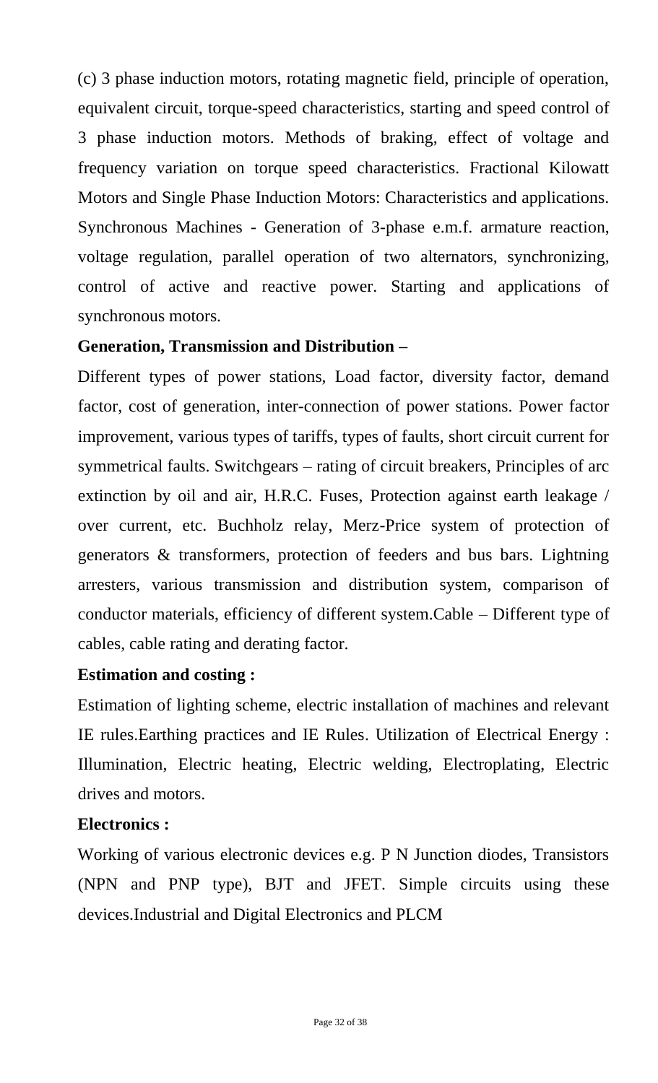(c) 3 phase induction motors, rotating magnetic field, principle of operation, equivalent circuit, torque-speed characteristics, starting and speed control of 3 phase induction motors. Methods of braking, effect of voltage and frequency variation on torque speed characteristics. Fractional Kilowatt Motors and Single Phase Induction Motors: Characteristics and applications. Synchronous Machines - Generation of 3-phase e.m.f. armature reaction, voltage regulation, parallel operation of two alternators, synchronizing, control of active and reactive power. Starting and applications of synchronous motors.

## **Generation, Transmission and Distribution –**

Different types of power stations, Load factor, diversity factor, demand factor, cost of generation, inter-connection of power stations. Power factor improvement, various types of tariffs, types of faults, short circuit current for symmetrical faults. Switchgears – rating of circuit breakers, Principles of arc extinction by oil and air, H.R.C. Fuses, Protection against earth leakage / over current, etc. Buchholz relay, Merz-Price system of protection of generators & transformers, protection of feeders and bus bars. Lightning arresters, various transmission and distribution system, comparison of conductor materials, efficiency of different system.Cable – Different type of cables, cable rating and derating factor.

## **Estimation and costing :**

Estimation of lighting scheme, electric installation of machines and relevant IE rules.Earthing practices and IE Rules. Utilization of Electrical Energy : Illumination, Electric heating, Electric welding, Electroplating, Electric drives and motors.

## **Electronics :**

Working of various electronic devices e.g. P N Junction diodes, Transistors (NPN and PNP type), BJT and JFET. Simple circuits using these devices.Industrial and Digital Electronics and PLCM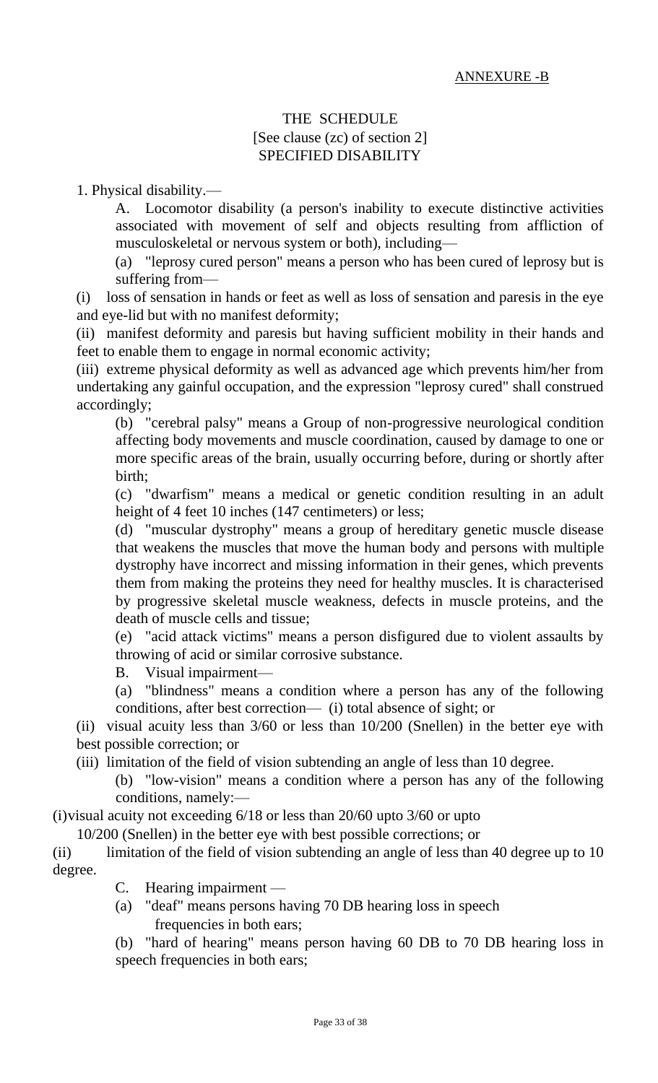## THE SCHEDULE [See clause (zc) of section 2] SPECIFIED DISABILITY

1. Physical disability.—

A. Locomotor disability (a person's inability to execute distinctive activities associated with movement of self and objects resulting from affliction of musculoskeletal or nervous system or both), including—

(a) "leprosy cured person" means a person who has been cured of leprosy but is suffering from—

(i) loss of sensation in hands or feet as well as loss of sensation and paresis in the eye and eye-lid but with no manifest deformity;

(ii) manifest deformity and paresis but having sufficient mobility in their hands and feet to enable them to engage in normal economic activity;

(iii) extreme physical deformity as well as advanced age which prevents him/her from undertaking any gainful occupation, and the expression "leprosy cured" shall construed accordingly;

(b) "cerebral palsy" means a Group of non-progressive neurological condition affecting body movements and muscle coordination, caused by damage to one or more specific areas of the brain, usually occurring before, during or shortly after birth;

(c) "dwarfism" means a medical or genetic condition resulting in an adult height of 4 feet 10 inches (147 centimeters) or less;

(d) "muscular dystrophy" means a group of hereditary genetic muscle disease that weakens the muscles that move the human body and persons with multiple dystrophy have incorrect and missing information in their genes, which prevents them from making the proteins they need for healthy muscles. It is characterised by progressive skeletal muscle weakness, defects in muscle proteins, and the death of muscle cells and tissue;

(e) "acid attack victims" means a person disfigured due to violent assaults by throwing of acid or similar corrosive substance.

B. Visual impairment—

(a) "blindness" means a condition where a person has any of the following conditions, after best correction— (i) total absence of sight; or

(ii) visual acuity less than 3/60 or less than 10/200 (Snellen) in the better eye with best possible correction; or

(iii) limitation of the field of vision subtending an angle of less than 10 degree.

(b) "low-vision" means a condition where a person has any of the following conditions, namely:—

(i)visual acuity not exceeding 6/18 or less than 20/60 upto 3/60 or upto

10/200 (Snellen) in the better eye with best possible corrections; or

(ii) limitation of the field of vision subtending an angle of less than 40 degree up to 10 degree.

C. Hearing impairment —

(a) "deaf" means persons having 70 DB hearing loss in speech frequencies in both ears;

(b) "hard of hearing" means person having 60 DB to 70 DB hearing loss in speech frequencies in both ears;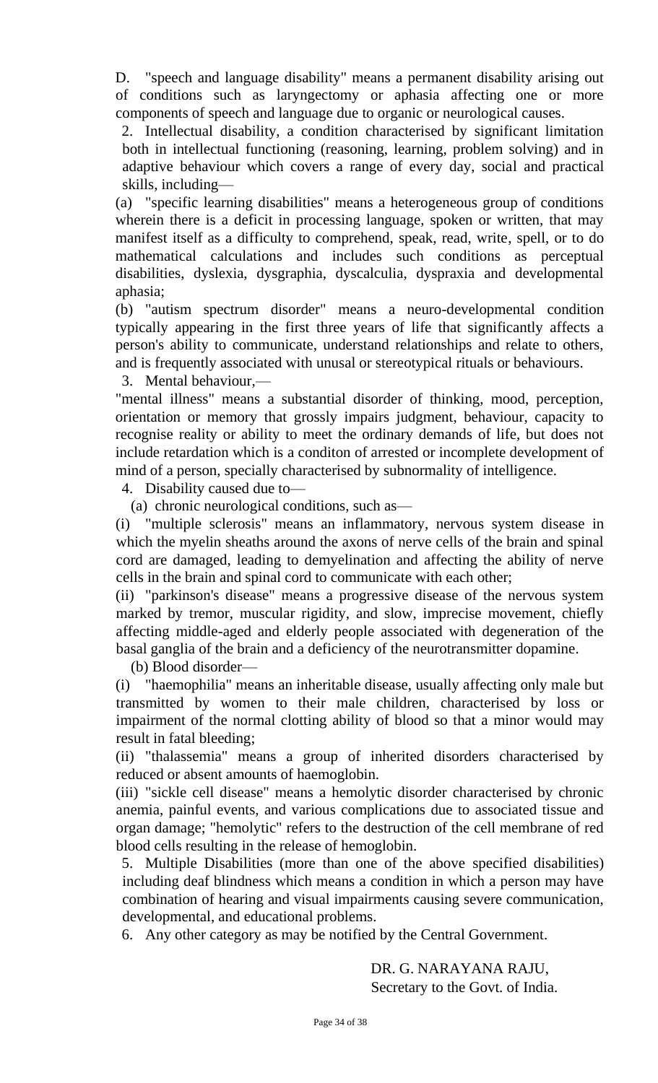D. "speech and language disability" means a permanent disability arising out of conditions such as laryngectomy or aphasia affecting one or more components of speech and language due to organic or neurological causes.

2. Intellectual disability, a condition characterised by significant limitation both in intellectual functioning (reasoning, learning, problem solving) and in adaptive behaviour which covers a range of every day, social and practical skills, including—

(a) "specific learning disabilities" means a heterogeneous group of conditions wherein there is a deficit in processing language, spoken or written, that may manifest itself as a difficulty to comprehend, speak, read, write, spell, or to do mathematical calculations and includes such conditions as perceptual disabilities, dyslexia, dysgraphia, dyscalculia, dyspraxia and developmental aphasia;

(b) "autism spectrum disorder" means a neuro-developmental condition typically appearing in the first three years of life that significantly affects a person's ability to communicate, understand relationships and relate to others, and is frequently associated with unusal or stereotypical rituals or behaviours.

3. Mental behaviour,—

"mental illness" means a substantial disorder of thinking, mood, perception, orientation or memory that grossly impairs judgment, behaviour, capacity to recognise reality or ability to meet the ordinary demands of life, but does not include retardation which is a conditon of arrested or incomplete development of mind of a person, specially characterised by subnormality of intelligence.

4. Disability caused due to—

(a) chronic neurological conditions, such as—

(i) "multiple sclerosis" means an inflammatory, nervous system disease in which the myelin sheaths around the axons of nerve cells of the brain and spinal cord are damaged, leading to demyelination and affecting the ability of nerve cells in the brain and spinal cord to communicate with each other;

(ii) "parkinson's disease" means a progressive disease of the nervous system marked by tremor, muscular rigidity, and slow, imprecise movement, chiefly affecting middle-aged and elderly people associated with degeneration of the basal ganglia of the brain and a deficiency of the neurotransmitter dopamine.

(b) Blood disorder—

(i) "haemophilia" means an inheritable disease, usually affecting only male but transmitted by women to their male children, characterised by loss or impairment of the normal clotting ability of blood so that a minor would may result in fatal bleeding;

(ii) "thalassemia" means a group of inherited disorders characterised by reduced or absent amounts of haemoglobin.

(iii) "sickle cell disease" means a hemolytic disorder characterised by chronic anemia, painful events, and various complications due to associated tissue and organ damage; "hemolytic" refers to the destruction of the cell membrane of red blood cells resulting in the release of hemoglobin.

5. Multiple Disabilities (more than one of the above specified disabilities) including deaf blindness which means a condition in which a person may have combination of hearing and visual impairments causing severe communication, developmental, and educational problems.

6. Any other category as may be notified by the Central Government.

DR. G. NARAYANA RAJU, Secretary to the Govt. of India.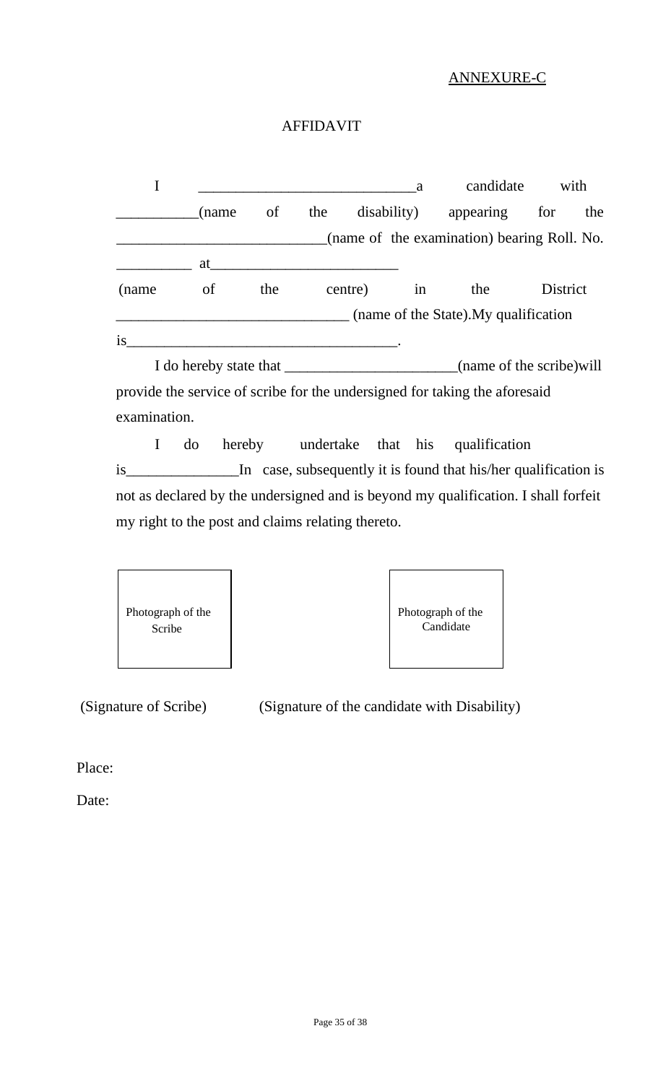## ANNEXURE-C

## AFFIDAVIT

|        |                        |     | a   |         |    | candidate                                                                                                                                    | with     |     |
|--------|------------------------|-----|-----|---------|----|----------------------------------------------------------------------------------------------------------------------------------------------|----------|-----|
|        | (name                  | of  | the |         |    | disability) appearing                                                                                                                        | for      | the |
|        |                        |     |     |         |    | (name of the examination) bearing Roll. No.                                                                                                  |          |     |
|        | at                     |     |     |         |    |                                                                                                                                              |          |     |
| (name) | <sub>of</sub>          | the |     | centre) | in | the                                                                                                                                          | District |     |
|        |                        |     |     |         |    | $\mu$ (name of the State). My qualification                                                                                                  |          |     |
| is     |                        |     |     |         |    |                                                                                                                                              |          |     |
|        | I do hereby state that |     |     |         |    | (name of the scribe) will                                                                                                                    |          |     |
|        |                        |     |     |         |    | $\pm$ 1. The same $\pm$ 1. $\pm$ 6. $\pm$ 1. $\pm$ 6. $\pm$ 1. $\pm$ 1. $\pm$ 1. $\pm$ 1. $\pm$ 1. $\pm$ 1. $\pm$ 1. $\pm$ 6. $\pm$ 1. $\pm$ |          |     |

provide the service of scribe for the undersigned for taking the aforesaid examination.

I do hereby undertake that his qualification is\_\_\_\_\_\_\_\_\_\_\_\_\_\_\_In case, subsequently it is found that his/her qualification is not as declared by the undersigned and is beyond my qualification. I shall forfeit my right to the post and claims relating thereto.

| Photograph of the<br>Scribe |
|-----------------------------|
|-----------------------------|

| Photograph of the<br>Candidate |
|--------------------------------|
|--------------------------------|

(Signature of Scribe) (Signature of the candidate with Disability)

Place:

Date: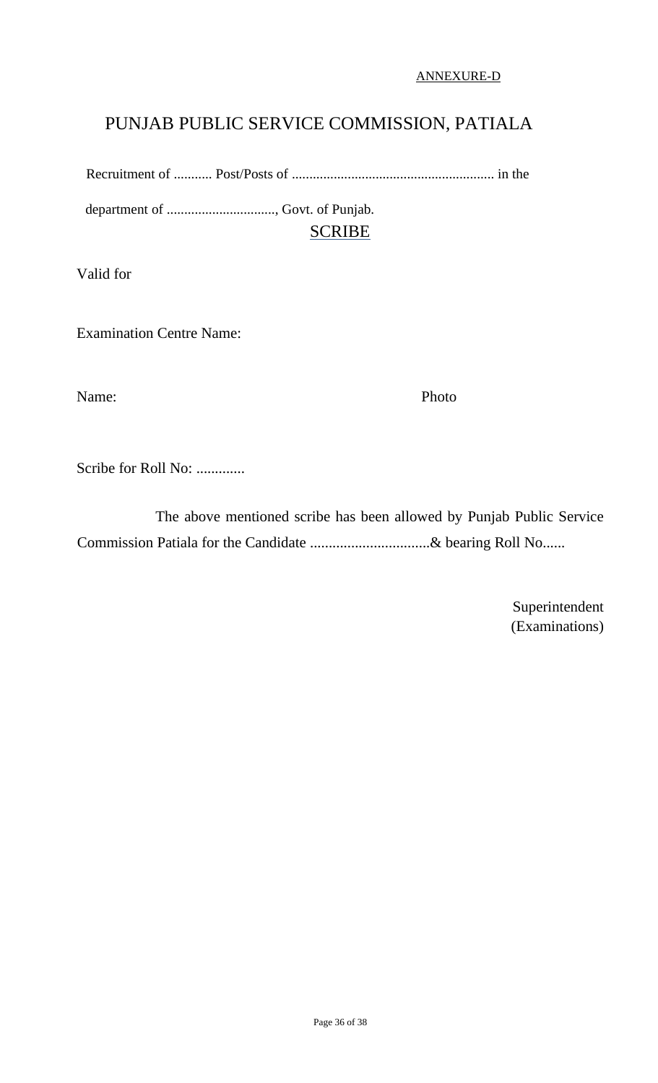ANNEXURE-D

# PUNJAB PUBLIC SERVICE COMMISSION, PATIALA

Recruitment of ........... Post/Posts of .......................................................... in the

department of ..............................., Govt. of Punjab. SCRIBE

Valid for

Examination Centre Name:

Name: Photo

Scribe for Roll No: .............

 The above mentioned scribe has been allowed by Punjab Public Service Commission Patiala for the Candidate ...............................& bearing Roll No......

> Superintendent (Examinations)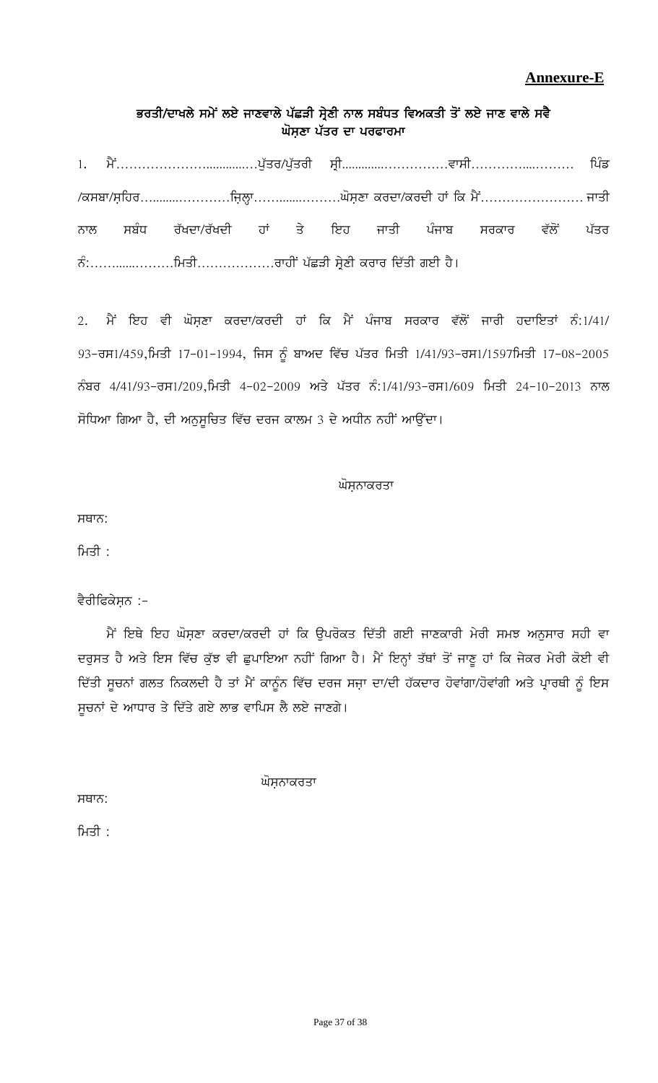## **Annexure-E**

## ਭਰਤੀ/ਦਾਖਲੇ ਸਮੇਂ ਲਏ ਜਾਣਵਾਲੇ ਪੱਛੜੀ ਸ੍ਰੇਣੀ ਨਾਲ ਸਬੰਧਤ ਵਿਅਕਤੀ ਤੋਂ ਲਏ ਜਾਣ ਵਾਲੇ ਸਵੈ ਘੋਸਣਾ ਪੱਤਰ ਦਾ ਪਰਫਾਰਮਾ

1. ਮੈਂ………………………………….ਪੁੱਤਰ/ਪੁੱਤਰੀ ਸ੍ਰੀ…………………………ਵਾਸੀ……………………… ਪਿੰਡ \$e;pk\$;afjo…........…………fiabQk…….......………x';aDk eodk\$eodh jK fe w?A…………………… iksh ਨਾਲ ਸਬੰਧ ਰੱਖਦਾ/ਰੱਖਦੀ ਹਾਂ ਤੇ ਇਹ ਜਾਤੀ ਪੰਜਾਬ ਸਰਕਾਰ ਵੱਲੋਂ ਪੱਤਰ BzL……......………fwsh………………okjhA gZSVh ;qa/Dh eoko fdZsh rJh j?.

2. ਮੈਂ ਇਹ ਵੀ ਘੋਸ਼ਣਾ ਕਰਦਾ/ਕਰਦੀ ਹਾਂ ਕਿ ਮੈਂ ਪੰਜਾਬ ਸਰਕਾਰ ਵੱਲੋਂ ਜਾਰੀ ਹਦਾਇਤਾਂ ਨੰ:1/41/ 93-ਰਸ1/459,ਮਿਤੀ 17-01-1994, ਜਿਸ ਨੂੰ ਬਾਅਦ ਵਿੱਚ ਪੱਤਰ ਮਿਤੀ 1/41/93-ਰਸ1/1597ਮਿਤੀ 17-08-2005 ਨੰਬਰ 4/41/93-ਰਸ1/209,ਮਿਤੀ 4-02-2009 ਅਤੇ ਪੱਤਰ ਨੰ:1/41/93-ਰਸ1/609 ਮਿਤੀ 24-10-2013 ਨਾਲ ਸੋਧਿਆ ਗਿਆ ਹੈ, ਦੀ ਅਨੁਸੂਚਿਤ ਵਿੱਚ ਦਰਜ ਕਾਲਮ 3 ਦੇ ਅਧੀਨ ਨਹੀਂ ਆਉਂਦਾ।

#### ਘੋਸ਼ਨਾਕਰਤਾ

ਸਥਾਨ:

ਸਿਤੀ $\colon$ 

#### ਵੈਰੀਫਿਕੇਸ਼ਨ :-

ਮੈਂ ਇਥੇ ਇਹ ਘੋਸ਼ਣਾ ਕਰਦਾ/ਕਰਦੀ ਹਾਂ ਕਿ ਉਪਰੋਕਤ ਦਿੱਤੀ ਗਈ ਜਾਣਕਾਰੀ ਮੇਰੀ ਸਮਝ ਅਨੁਸਾਰ ਸਹੀ ਵਾ ਦਰੁਸਤ ਹੈ ਅਤੇ ਇਸ ਵਿੱਚ ਕੁੱਝ ਵੀ ਛੁਪਾਇਆ ਨਹੀਂ ਗਿਆ ਹੈ। ਮੈਂ ਇਨ੍ਹਾਂ ਤੱਥਾਂ ਤੋਂ ਜਾਣੂ ਹਾਂ ਕਿ ਜੇਕਰ ਮੇਰੀ ਕੋਈ ਵੀ ਦਿੱਤੀ ਸੂਚਨਾਂ ਗਲਤ ਨਿਕਲਦੀ ਹੈ ਤਾਂ ਮੈਂ ਕਾਨੂੰਨ ਵਿੱਚ ਦਰਜ ਸਜ਼ਾ ਦਾ/ਦੀ ਹੱਕਦਾਰ ਹੋਵਾਂਗਾ/ਹੋਵਾਂਗੀ ਅਤੇ ਪ੍ਰਾਰਥੀ ਨੂੰ ਇਸ ਸੁਚਨਾਂ ਦੇ ਆਧਾਰ ਤੇ ਦਿੱਤੇ ਗਏ ਲਾਭ ਵਾਪਿਸ ਲੈ ਲਏ ਜਾਣਗੇ।

ਘੋਸਨਾਕਰਤਾ

ਸਥਾਨ:

ਮਿਤੀ $\colon$